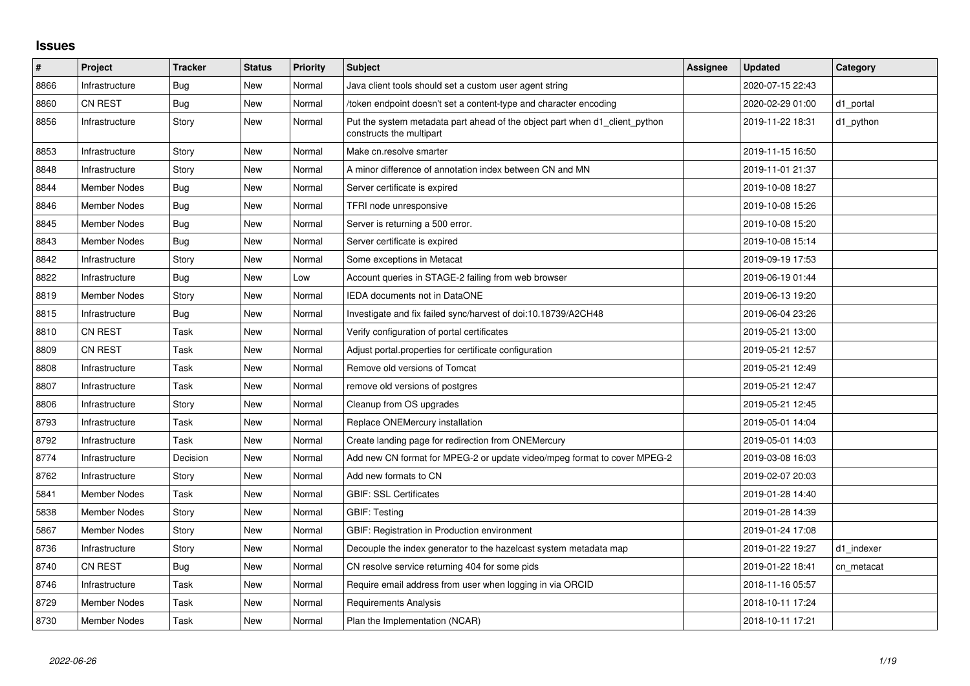## **Issues**

| #    | Project             | <b>Tracker</b> | <b>Status</b> | <b>Priority</b> | <b>Subject</b>                                                                                          | Assignee | <b>Updated</b>   | Category   |
|------|---------------------|----------------|---------------|-----------------|---------------------------------------------------------------------------------------------------------|----------|------------------|------------|
| 8866 | Infrastructure      | Bug            | <b>New</b>    | Normal          | Java client tools should set a custom user agent string                                                 |          | 2020-07-15 22:43 |            |
| 8860 | <b>CN REST</b>      | Bug            | <b>New</b>    | Normal          | /token endpoint doesn't set a content-type and character encoding                                       |          | 2020-02-29 01:00 | d1_portal  |
| 8856 | Infrastructure      | Story          | <b>New</b>    | Normal          | Put the system metadata part ahead of the object part when d1_client_python<br>constructs the multipart |          | 2019-11-22 18:31 | d1_python  |
| 8853 | Infrastructure      | Story          | New           | Normal          | Make cn.resolve smarter                                                                                 |          | 2019-11-15 16:50 |            |
| 8848 | Infrastructure      | Story          | <b>New</b>    | Normal          | A minor difference of annotation index between CN and MN                                                |          | 2019-11-01 21:37 |            |
| 8844 | <b>Member Nodes</b> | Bug            | New           | Normal          | Server certificate is expired                                                                           |          | 2019-10-08 18:27 |            |
| 8846 | <b>Member Nodes</b> | <b>Bug</b>     | New           | Normal          | TFRI node unresponsive                                                                                  |          | 2019-10-08 15:26 |            |
| 8845 | <b>Member Nodes</b> | <b>Bug</b>     | <b>New</b>    | Normal          | Server is returning a 500 error.                                                                        |          | 2019-10-08 15:20 |            |
| 8843 | <b>Member Nodes</b> | Bug            | New           | Normal          | Server certificate is expired                                                                           |          | 2019-10-08 15:14 |            |
| 8842 | Infrastructure      | Story          | <b>New</b>    | Normal          | Some exceptions in Metacat                                                                              |          | 2019-09-19 17:53 |            |
| 8822 | Infrastructure      | Bug            | <b>New</b>    | Low             | Account queries in STAGE-2 failing from web browser                                                     |          | 2019-06-19 01:44 |            |
| 8819 | <b>Member Nodes</b> | Story          | <b>New</b>    | Normal          | <b>IEDA documents not in DataONE</b>                                                                    |          | 2019-06-13 19:20 |            |
| 8815 | Infrastructure      | <b>Bug</b>     | <b>New</b>    | Normal          | Investigate and fix failed sync/harvest of doi:10.18739/A2CH48                                          |          | 2019-06-04 23:26 |            |
| 8810 | <b>CN REST</b>      | Task           | <b>New</b>    | Normal          | Verify configuration of portal certificates                                                             |          | 2019-05-21 13:00 |            |
| 8809 | CN REST             | Task           | New           | Normal          | Adjust portal properties for certificate configuration                                                  |          | 2019-05-21 12:57 |            |
| 8808 | Infrastructure      | Task           | <b>New</b>    | Normal          | Remove old versions of Tomcat                                                                           |          | 2019-05-21 12:49 |            |
| 8807 | Infrastructure      | Task           | <b>New</b>    | Normal          | remove old versions of postgres                                                                         |          | 2019-05-21 12:47 |            |
| 8806 | Infrastructure      | Story          | New           | Normal          | Cleanup from OS upgrades                                                                                |          | 2019-05-21 12:45 |            |
| 8793 | Infrastructure      | Task           | <b>New</b>    | Normal          | Replace ONEMercury installation                                                                         |          | 2019-05-01 14:04 |            |
| 8792 | Infrastructure      | Task           | <b>New</b>    | Normal          | Create landing page for redirection from ONEMercury                                                     |          | 2019-05-01 14:03 |            |
| 8774 | Infrastructure      | Decision       | New           | Normal          | Add new CN format for MPEG-2 or update video/mpeg format to cover MPEG-2                                |          | 2019-03-08 16:03 |            |
| 8762 | Infrastructure      | Story          | <b>New</b>    | Normal          | Add new formats to CN                                                                                   |          | 2019-02-07 20:03 |            |
| 5841 | <b>Member Nodes</b> | Task           | New           | Normal          | <b>GBIF: SSL Certificates</b>                                                                           |          | 2019-01-28 14:40 |            |
| 5838 | <b>Member Nodes</b> | Story          | <b>New</b>    | Normal          | <b>GBIF: Testing</b>                                                                                    |          | 2019-01-28 14:39 |            |
| 5867 | <b>Member Nodes</b> | Story          | New           | Normal          | GBIF: Registration in Production environment                                                            |          | 2019-01-24 17:08 |            |
| 8736 | Infrastructure      | Story          | <b>New</b>    | Normal          | Decouple the index generator to the hazelcast system metadata map                                       |          | 2019-01-22 19:27 | d1 indexer |
| 8740 | <b>CN REST</b>      | Bug            | <b>New</b>    | Normal          | CN resolve service returning 404 for some pids                                                          |          | 2019-01-22 18:41 | cn metacat |
| 8746 | Infrastructure      | Task           | New           | Normal          | Require email address from user when logging in via ORCID                                               |          | 2018-11-16 05:57 |            |
| 8729 | <b>Member Nodes</b> | Task           | <b>New</b>    | Normal          | <b>Requirements Analysis</b>                                                                            |          | 2018-10-11 17:24 |            |
| 8730 | <b>Member Nodes</b> | Task           | <b>New</b>    | Normal          | Plan the Implementation (NCAR)                                                                          |          | 2018-10-11 17:21 |            |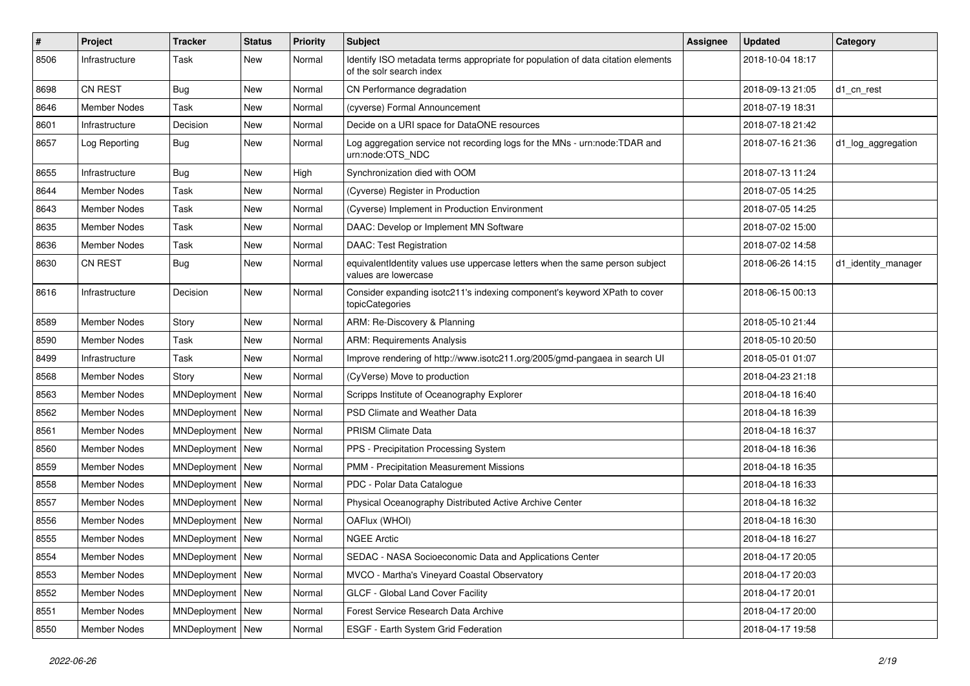| #    | Project             | <b>Tracker</b>     | <b>Status</b> | <b>Priority</b> | Subject                                                                                                      | Assignee | <b>Updated</b>   | Category            |
|------|---------------------|--------------------|---------------|-----------------|--------------------------------------------------------------------------------------------------------------|----------|------------------|---------------------|
| 8506 | Infrastructure      | Task               | New           | Normal          | Identify ISO metadata terms appropriate for population of data citation elements<br>of the solr search index |          | 2018-10-04 18:17 |                     |
| 8698 | <b>CN REST</b>      | Bug                | New           | Normal          | CN Performance degradation                                                                                   |          | 2018-09-13 21:05 | d1 cn rest          |
| 8646 | <b>Member Nodes</b> | Task               | New           | Normal          | (cyverse) Formal Announcement                                                                                |          | 2018-07-19 18:31 |                     |
| 8601 | Infrastructure      | Decision           | New           | Normal          | Decide on a URI space for DataONE resources                                                                  |          | 2018-07-18 21:42 |                     |
| 8657 | Log Reporting       | <b>Bug</b>         | New           | Normal          | Log aggregation service not recording logs for the MNs - urn:node:TDAR and<br>urn:node:OTS NDC               |          | 2018-07-16 21:36 | d1_log_aggregation  |
| 8655 | Infrastructure      | Bug                | New           | High            | Synchronization died with OOM                                                                                |          | 2018-07-13 11:24 |                     |
| 8644 | Member Nodes        | Task               | New           | Normal          | (Cyverse) Register in Production                                                                             |          | 2018-07-05 14:25 |                     |
| 8643 | Member Nodes        | Task               | New           | Normal          | (Cyverse) Implement in Production Environment                                                                |          | 2018-07-05 14:25 |                     |
| 8635 | Member Nodes        | Task               | New           | Normal          | DAAC: Develop or Implement MN Software                                                                       |          | 2018-07-02 15:00 |                     |
| 8636 | Member Nodes        | Task               | New           | Normal          | <b>DAAC: Test Registration</b>                                                                               |          | 2018-07-02 14:58 |                     |
| 8630 | <b>CN REST</b>      | Bug                | New           | Normal          | equivalentIdentity values use uppercase letters when the same person subject<br>values are lowercase         |          | 2018-06-26 14:15 | d1_identity_manager |
| 8616 | Infrastructure      | Decision           | <b>New</b>    | Normal          | Consider expanding isotc211's indexing component's keyword XPath to cover<br>topicCategories                 |          | 2018-06-15 00:13 |                     |
| 8589 | Member Nodes        | Story              | New           | Normal          | ARM: Re-Discovery & Planning                                                                                 |          | 2018-05-10 21:44 |                     |
| 8590 | <b>Member Nodes</b> | Task               | New           | Normal          | <b>ARM: Requirements Analysis</b>                                                                            |          | 2018-05-10 20:50 |                     |
| 8499 | Infrastructure      | Task               | New           | Normal          | Improve rendering of http://www.isotc211.org/2005/gmd-pangaea in search UI                                   |          | 2018-05-01 01:07 |                     |
| 8568 | Member Nodes        | Story              | New           | Normal          | (CyVerse) Move to production                                                                                 |          | 2018-04-23 21:18 |                     |
| 8563 | Member Nodes        | MNDeployment       | <b>New</b>    | Normal          | Scripps Institute of Oceanography Explorer                                                                   |          | 2018-04-18 16:40 |                     |
| 8562 | Member Nodes        | MNDeployment New   |               | Normal          | PSD Climate and Weather Data                                                                                 |          | 2018-04-18 16:39 |                     |
| 8561 | Member Nodes        | MNDeployment       | <b>New</b>    | Normal          | PRISM Climate Data                                                                                           |          | 2018-04-18 16:37 |                     |
| 8560 | Member Nodes        | MNDeployment   New |               | Normal          | PPS - Precipitation Processing System                                                                        |          | 2018-04-18 16:36 |                     |
| 8559 | Member Nodes        | MNDeployment   New |               | Normal          | PMM - Precipitation Measurement Missions                                                                     |          | 2018-04-18 16:35 |                     |
| 8558 | Member Nodes        | MNDeployment       | New           | Normal          | PDC - Polar Data Catalogue                                                                                   |          | 2018-04-18 16:33 |                     |
| 8557 | Member Nodes        | MNDeployment   New |               | Normal          | Physical Oceanography Distributed Active Archive Center                                                      |          | 2018-04-18 16:32 |                     |
| 8556 | Member Nodes        | MNDeployment   New |               | Normal          | OAFlux (WHOI)                                                                                                |          | 2018-04-18 16:30 |                     |
| 8555 | Member Nodes        | MNDeployment   New |               | Normal          | <b>NGEE Arctic</b>                                                                                           |          | 2018-04-18 16:27 |                     |
| 8554 | Member Nodes        | MNDeployment   New |               | Normal          | SEDAC - NASA Socioeconomic Data and Applications Center                                                      |          | 2018-04-17 20:05 |                     |
| 8553 | Member Nodes        | MNDeployment New   |               | Normal          | MVCO - Martha's Vineyard Coastal Observatory                                                                 |          | 2018-04-17 20:03 |                     |
| 8552 | Member Nodes        | MNDeployment   New |               | Normal          | GLCF - Global Land Cover Facility                                                                            |          | 2018-04-17 20:01 |                     |
| 8551 | Member Nodes        | MNDeployment   New |               | Normal          | Forest Service Research Data Archive                                                                         |          | 2018-04-17 20:00 |                     |
| 8550 | Member Nodes        | MNDeployment   New |               | Normal          | ESGF - Earth System Grid Federation                                                                          |          | 2018-04-17 19:58 |                     |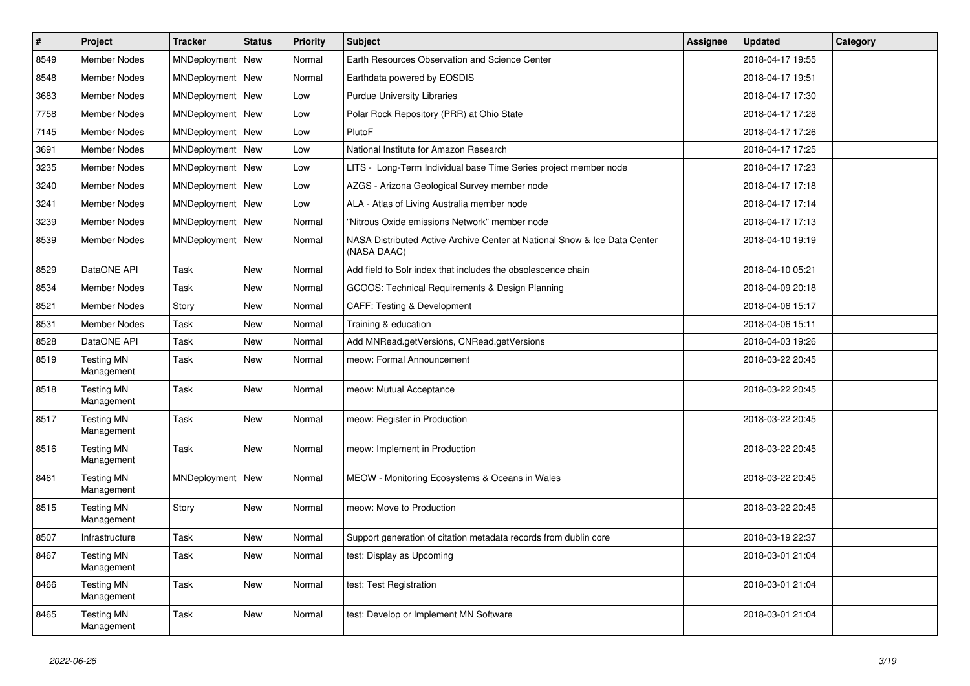| $\vert$ # | Project                         | <b>Tracker</b>     | <b>Status</b> | <b>Priority</b> | <b>Subject</b>                                                                           | <b>Assignee</b> | <b>Updated</b>   | Category |
|-----------|---------------------------------|--------------------|---------------|-----------------|------------------------------------------------------------------------------------------|-----------------|------------------|----------|
| 8549      | <b>Member Nodes</b>             | MNDeployment       | New           | Normal          | Earth Resources Observation and Science Center                                           |                 | 2018-04-17 19:55 |          |
| 8548      | <b>Member Nodes</b>             | MNDeployment   New |               | Normal          | Earthdata powered by EOSDIS                                                              |                 | 2018-04-17 19:51 |          |
| 3683      | <b>Member Nodes</b>             | MNDeployment   New |               | Low             | <b>Purdue University Libraries</b>                                                       |                 | 2018-04-17 17:30 |          |
| 7758      | <b>Member Nodes</b>             | MNDeployment       | New           | Low             | Polar Rock Repository (PRR) at Ohio State                                                |                 | 2018-04-17 17:28 |          |
| 7145      | <b>Member Nodes</b>             | MNDeployment   New |               | Low             | PlutoF                                                                                   |                 | 2018-04-17 17:26 |          |
| 3691      | <b>Member Nodes</b>             | MNDeployment   New |               | Low             | National Institute for Amazon Research                                                   |                 | 2018-04-17 17:25 |          |
| 3235      | Member Nodes                    | MNDeployment   New |               | Low             | LITS - Long-Term Individual base Time Series project member node                         |                 | 2018-04-17 17:23 |          |
| 3240      | Member Nodes                    | MNDeployment   New |               | Low             | AZGS - Arizona Geological Survey member node                                             |                 | 2018-04-17 17:18 |          |
| 3241      | <b>Member Nodes</b>             | MNDeployment       | <b>New</b>    | Low             | ALA - Atlas of Living Australia member node                                              |                 | 2018-04-17 17:14 |          |
| 3239      | <b>Member Nodes</b>             | MNDeployment       | New           | Normal          | "Nitrous Oxide emissions Network" member node                                            |                 | 2018-04-17 17:13 |          |
| 8539      | <b>Member Nodes</b>             | MNDeployment   New |               | Normal          | NASA Distributed Active Archive Center at National Snow & Ice Data Center<br>(NASA DAAC) |                 | 2018-04-10 19:19 |          |
| 8529      | DataONE API                     | Task               | New           | Normal          | Add field to Solr index that includes the obsolescence chain                             |                 | 2018-04-10 05:21 |          |
| 8534      | <b>Member Nodes</b>             | <b>Task</b>        | New           | Normal          | GCOOS: Technical Requirements & Design Planning                                          |                 | 2018-04-09 20:18 |          |
| 8521      | <b>Member Nodes</b>             | Story              | New           | Normal          | <b>CAFF: Testing &amp; Development</b>                                                   |                 | 2018-04-06 15:17 |          |
| 8531      | Member Nodes                    | Task               | New           | Normal          | Training & education                                                                     |                 | 2018-04-06 15:11 |          |
| 8528      | DataONE API                     | <b>Task</b>        | <b>New</b>    | Normal          | Add MNRead.getVersions, CNRead.getVersions                                               |                 | 2018-04-03 19:26 |          |
| 8519      | <b>Testing MN</b><br>Management | Task               | <b>New</b>    | Normal          | meow: Formal Announcement                                                                |                 | 2018-03-22 20:45 |          |
| 8518      | <b>Testing MN</b><br>Management | Task               | New           | Normal          | meow: Mutual Acceptance                                                                  |                 | 2018-03-22 20:45 |          |
| 8517      | <b>Testing MN</b><br>Management | Task               | New           | Normal          | meow: Register in Production                                                             |                 | 2018-03-22 20:45 |          |
| 8516      | <b>Testing MN</b><br>Management | Task               | <b>New</b>    | Normal          | meow: Implement in Production                                                            |                 | 2018-03-22 20:45 |          |
| 8461      | <b>Testing MN</b><br>Management | MNDeployment       | New           | Normal          | MEOW - Monitoring Ecosystems & Oceans in Wales                                           |                 | 2018-03-22 20:45 |          |
| 8515      | <b>Testing MN</b><br>Management | Story              | New           | Normal          | meow: Move to Production                                                                 |                 | 2018-03-22 20:45 |          |
| 8507      | Infrastructure                  | <b>Task</b>        | <b>New</b>    | Normal          | Support generation of citation metadata records from dublin core                         |                 | 2018-03-19 22:37 |          |
| 8467      | <b>Testing MN</b><br>Management | Task               | New           | Normal          | test: Display as Upcoming                                                                |                 | 2018-03-01 21:04 |          |
| 8466      | <b>Testing MN</b><br>Management | Task               | New           | Normal          | test: Test Registration                                                                  |                 | 2018-03-01 21:04 |          |
| 8465      | <b>Testing MN</b><br>Management | Task               | <b>New</b>    | Normal          | test: Develop or Implement MN Software                                                   |                 | 2018-03-01 21:04 |          |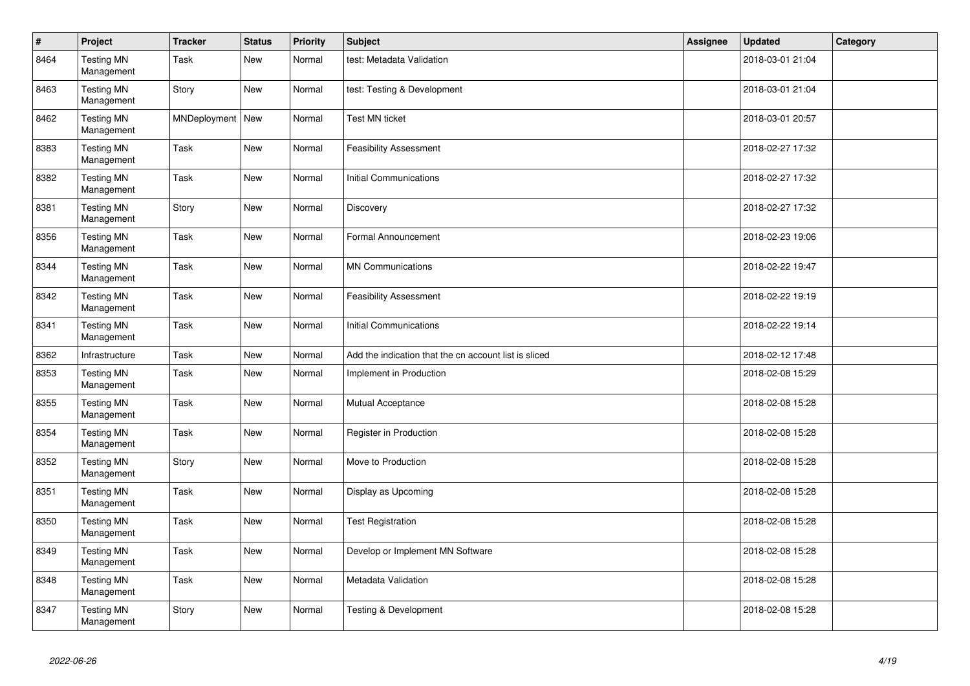| $\sharp$ | Project                         | <b>Tracker</b>     | <b>Status</b> | <b>Priority</b> | <b>Subject</b>                                        | Assignee | <b>Updated</b>   | Category |
|----------|---------------------------------|--------------------|---------------|-----------------|-------------------------------------------------------|----------|------------------|----------|
| 8464     | <b>Testing MN</b><br>Management | Task               | <b>New</b>    | Normal          | test: Metadata Validation                             |          | 2018-03-01 21:04 |          |
| 8463     | <b>Testing MN</b><br>Management | Story              | <b>New</b>    | Normal          | test: Testing & Development                           |          | 2018-03-01 21:04 |          |
| 8462     | <b>Testing MN</b><br>Management | MNDeployment   New |               | Normal          | <b>Test MN ticket</b>                                 |          | 2018-03-01 20:57 |          |
| 8383     | <b>Testing MN</b><br>Management | Task               | New           | Normal          | <b>Feasibility Assessment</b>                         |          | 2018-02-27 17:32 |          |
| 8382     | <b>Testing MN</b><br>Management | Task               | New           | Normal          | <b>Initial Communications</b>                         |          | 2018-02-27 17:32 |          |
| 8381     | <b>Testing MN</b><br>Management | Story              | New           | Normal          | Discovery                                             |          | 2018-02-27 17:32 |          |
| 8356     | <b>Testing MN</b><br>Management | Task               | <b>New</b>    | Normal          | Formal Announcement                                   |          | 2018-02-23 19:06 |          |
| 8344     | <b>Testing MN</b><br>Management | Task               | <b>New</b>    | Normal          | <b>MN Communications</b>                              |          | 2018-02-22 19:47 |          |
| 8342     | <b>Testing MN</b><br>Management | Task               | <b>New</b>    | Normal          | <b>Feasibility Assessment</b>                         |          | 2018-02-22 19:19 |          |
| 8341     | <b>Testing MN</b><br>Management | Task               | New           | Normal          | <b>Initial Communications</b>                         |          | 2018-02-22 19:14 |          |
| 8362     | Infrastructure                  | Task               | New           | Normal          | Add the indication that the cn account list is sliced |          | 2018-02-12 17:48 |          |
| 8353     | <b>Testing MN</b><br>Management | Task               | New           | Normal          | Implement in Production                               |          | 2018-02-08 15:29 |          |
| 8355     | <b>Testing MN</b><br>Management | Task               | New           | Normal          | Mutual Acceptance                                     |          | 2018-02-08 15:28 |          |
| 8354     | <b>Testing MN</b><br>Management | Task               | New           | Normal          | Register in Production                                |          | 2018-02-08 15:28 |          |
| 8352     | <b>Testing MN</b><br>Management | Story              | New           | Normal          | Move to Production                                    |          | 2018-02-08 15:28 |          |
| 8351     | <b>Testing MN</b><br>Management | Task               | New           | Normal          | Display as Upcoming                                   |          | 2018-02-08 15:28 |          |
| 8350     | <b>Testing MN</b><br>Management | Task               | New           | Normal          | <b>Test Registration</b>                              |          | 2018-02-08 15:28 |          |
| 8349     | <b>Testing MN</b><br>Management | Task               | New           | Normal          | Develop or Implement MN Software                      |          | 2018-02-08 15:28 |          |
| 8348     | <b>Testing MN</b><br>Management | Task               | New           | Normal          | Metadata Validation                                   |          | 2018-02-08 15:28 |          |
| 8347     | <b>Testing MN</b><br>Management | Story              | <b>New</b>    | Normal          | <b>Testing &amp; Development</b>                      |          | 2018-02-08 15:28 |          |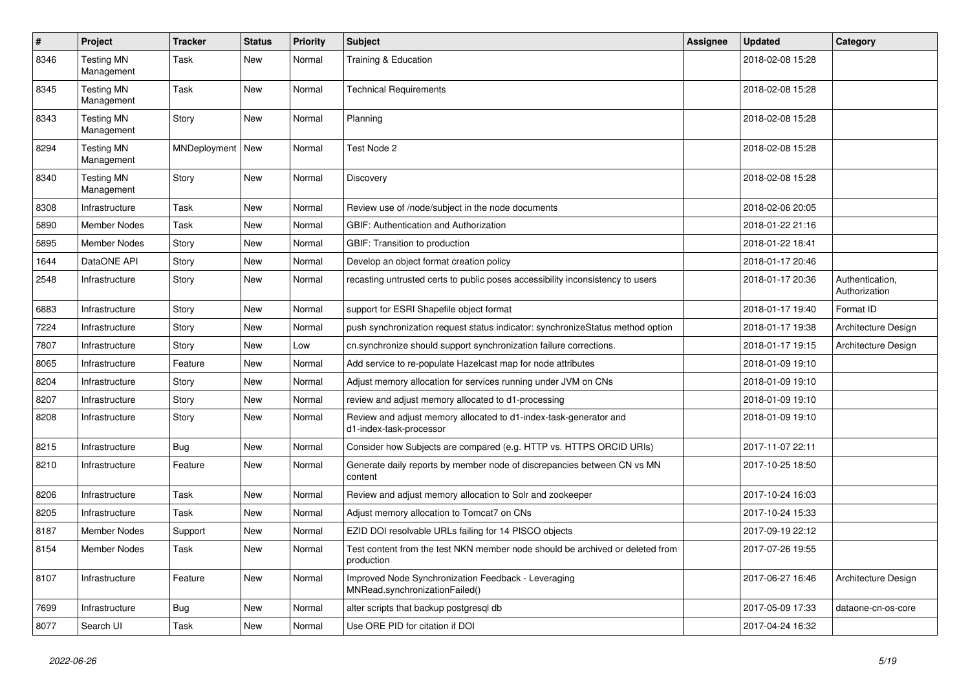| #    | Project                         | <b>Tracker</b> | <b>Status</b> | <b>Priority</b> | <b>Subject</b>                                                                               | Assignee | <b>Updated</b>   | Category                         |
|------|---------------------------------|----------------|---------------|-----------------|----------------------------------------------------------------------------------------------|----------|------------------|----------------------------------|
| 8346 | <b>Testing MN</b><br>Management | Task           | New           | Normal          | Training & Education                                                                         |          | 2018-02-08 15:28 |                                  |
| 8345 | <b>Testing MN</b><br>Management | Task           | New           | Normal          | <b>Technical Requirements</b>                                                                |          | 2018-02-08 15:28 |                                  |
| 8343 | <b>Testing MN</b><br>Management | Story          | New           | Normal          | Planning                                                                                     |          | 2018-02-08 15:28 |                                  |
| 8294 | <b>Testing MN</b><br>Management | MNDeployment   | New           | Normal          | Test Node 2                                                                                  |          | 2018-02-08 15:28 |                                  |
| 8340 | <b>Testing MN</b><br>Management | Story          | New           | Normal          | Discovery                                                                                    |          | 2018-02-08 15:28 |                                  |
| 8308 | Infrastructure                  | Task           | New           | Normal          | Review use of /node/subject in the node documents                                            |          | 2018-02-06 20:05 |                                  |
| 5890 | <b>Member Nodes</b>             | Task           | New           | Normal          | <b>GBIF: Authentication and Authorization</b>                                                |          | 2018-01-22 21:16 |                                  |
| 5895 | <b>Member Nodes</b>             | Story          | New           | Normal          | GBIF: Transition to production                                                               |          | 2018-01-22 18:41 |                                  |
| 1644 | DataONE API                     | Story          | New           | Normal          | Develop an object format creation policy                                                     |          | 2018-01-17 20:46 |                                  |
| 2548 | Infrastructure                  | Story          | <b>New</b>    | Normal          | recasting untrusted certs to public poses accessibility inconsistency to users               |          | 2018-01-17 20:36 | Authentication,<br>Authorization |
| 6883 | Infrastructure                  | Story          | <b>New</b>    | Normal          | support for ESRI Shapefile object format                                                     |          | 2018-01-17 19:40 | Format ID                        |
| 7224 | Infrastructure                  | Story          | <b>New</b>    | Normal          | push synchronization request status indicator: synchronize Status method option              |          | 2018-01-17 19:38 | Architecture Design              |
| 7807 | Infrastructure                  | Story          | New           | Low             | cn.synchronize should support synchronization failure corrections.                           |          | 2018-01-17 19:15 | Architecture Design              |
| 8065 | Infrastructure                  | Feature        | New           | Normal          | Add service to re-populate Hazelcast map for node attributes                                 |          | 2018-01-09 19:10 |                                  |
| 8204 | Infrastructure                  | Story          | New           | Normal          | Adjust memory allocation for services running under JVM on CNs                               |          | 2018-01-09 19:10 |                                  |
| 8207 | Infrastructure                  | Story          | New           | Normal          | review and adjust memory allocated to d1-processing                                          |          | 2018-01-09 19:10 |                                  |
| 8208 | Infrastructure                  | Story          | New           | Normal          | Review and adjust memory allocated to d1-index-task-generator and<br>d1-index-task-processor |          | 2018-01-09 19:10 |                                  |
| 8215 | Infrastructure                  | Bug            | New           | Normal          | Consider how Subjects are compared (e.g. HTTP vs. HTTPS ORCID URIs)                          |          | 2017-11-07 22:11 |                                  |
| 8210 | Infrastructure                  | Feature        | New           | Normal          | Generate daily reports by member node of discrepancies between CN vs MN<br>content           |          | 2017-10-25 18:50 |                                  |
| 8206 | Infrastructure                  | Task           | New           | Normal          | Review and adjust memory allocation to Solr and zookeeper                                    |          | 2017-10-24 16:03 |                                  |
| 8205 | Infrastructure                  | Task           | New           | Normal          | Adjust memory allocation to Tomcat7 on CNs                                                   |          | 2017-10-24 15:33 |                                  |
| 8187 | <b>Member Nodes</b>             | Support        | New           | Normal          | EZID DOI resolvable URLs failing for 14 PISCO objects                                        |          | 2017-09-19 22:12 |                                  |
| 8154 | <b>Member Nodes</b>             | Task           | New           | Normal          | Test content from the test NKN member node should be archived or deleted from<br>production  |          | 2017-07-26 19:55 |                                  |
| 8107 | Infrastructure                  | Feature        | New           | Normal          | Improved Node Synchronization Feedback - Leveraging<br>MNRead.synchronizationFailed()        |          | 2017-06-27 16:46 | Architecture Design              |
| 7699 | Infrastructure                  | <b>Bug</b>     | New           | Normal          | alter scripts that backup postgresql db                                                      |          | 2017-05-09 17:33 | dataone-cn-os-core               |
| 8077 | Search UI                       | Task           | New           | Normal          | Use ORE PID for citation if DOI                                                              |          | 2017-04-24 16:32 |                                  |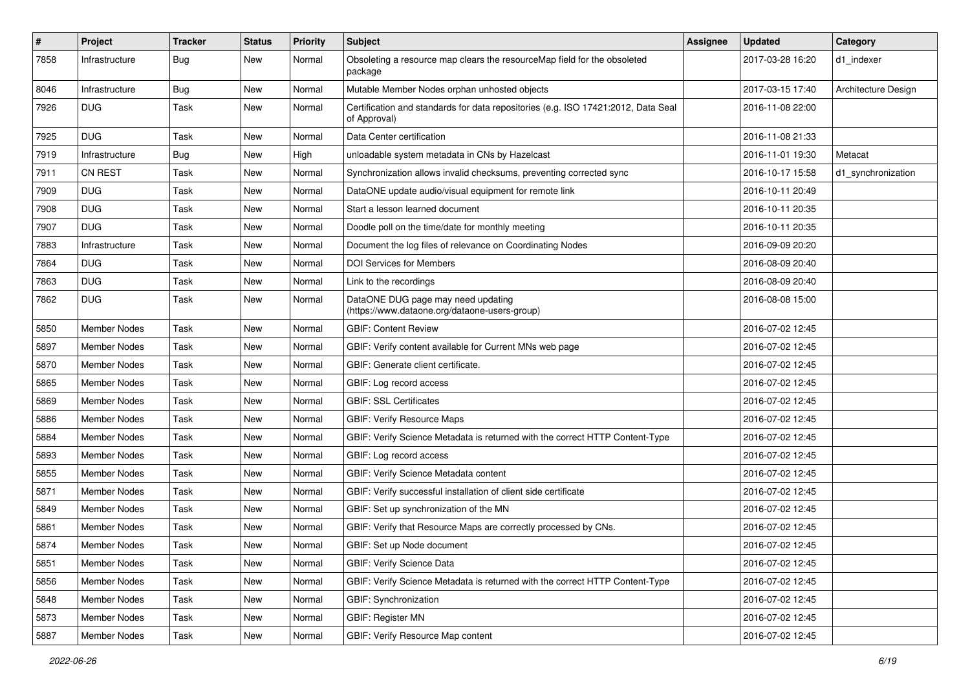| $\pmb{\#}$ | Project             | <b>Tracker</b> | <b>Status</b> | <b>Priority</b> | Subject                                                                                           | <b>Assignee</b> | <b>Updated</b>   | Category            |
|------------|---------------------|----------------|---------------|-----------------|---------------------------------------------------------------------------------------------------|-----------------|------------------|---------------------|
| 7858       | Infrastructure      | Bug            | New           | Normal          | Obsoleting a resource map clears the resourceMap field for the obsoleted<br>package               |                 | 2017-03-28 16:20 | d1 indexer          |
| 8046       | Infrastructure      | <b>Bug</b>     | New           | Normal          | Mutable Member Nodes orphan unhosted objects                                                      |                 | 2017-03-15 17:40 | Architecture Design |
| 7926       | <b>DUG</b>          | Task           | New           | Normal          | Certification and standards for data repositories (e.g. ISO 17421:2012, Data Seal<br>of Approval) |                 | 2016-11-08 22:00 |                     |
| 7925       | <b>DUG</b>          | Task           | New           | Normal          | Data Center certification                                                                         |                 | 2016-11-08 21:33 |                     |
| 7919       | Infrastructure      | Bug            | New           | High            | unloadable system metadata in CNs by Hazelcast                                                    |                 | 2016-11-01 19:30 | Metacat             |
| 7911       | <b>CN REST</b>      | Task           | New           | Normal          | Synchronization allows invalid checksums, preventing corrected sync                               |                 | 2016-10-17 15:58 | d1_synchronization  |
| 7909       | <b>DUG</b>          | Task           | New           | Normal          | DataONE update audio/visual equipment for remote link                                             |                 | 2016-10-11 20:49 |                     |
| 7908       | <b>DUG</b>          | Task           | New           | Normal          | Start a lesson learned document                                                                   |                 | 2016-10-11 20:35 |                     |
| 7907       | <b>DUG</b>          | Task           | New           | Normal          | Doodle poll on the time/date for monthly meeting                                                  |                 | 2016-10-11 20:35 |                     |
| 7883       | Infrastructure      | Task           | New           | Normal          | Document the log files of relevance on Coordinating Nodes                                         |                 | 2016-09-09 20:20 |                     |
| 7864       | <b>DUG</b>          | Task           | New           | Normal          | <b>DOI Services for Members</b>                                                                   |                 | 2016-08-09 20:40 |                     |
| 7863       | <b>DUG</b>          | Task           | New           | Normal          | Link to the recordings                                                                            |                 | 2016-08-09 20:40 |                     |
| 7862       | <b>DUG</b>          | Task           | New           | Normal          | DataONE DUG page may need updating<br>(https://www.dataone.org/dataone-users-group)               |                 | 2016-08-08 15:00 |                     |
| 5850       | <b>Member Nodes</b> | Task           | New           | Normal          | <b>GBIF: Content Review</b>                                                                       |                 | 2016-07-02 12:45 |                     |
| 5897       | Member Nodes        | Task           | New           | Normal          | GBIF: Verify content available for Current MNs web page                                           |                 | 2016-07-02 12:45 |                     |
| 5870       | Member Nodes        | Task           | New           | Normal          | GBIF: Generate client certificate.                                                                |                 | 2016-07-02 12:45 |                     |
| 5865       | Member Nodes        | Task           | New           | Normal          | GBIF: Log record access                                                                           |                 | 2016-07-02 12:45 |                     |
| 5869       | Member Nodes        | Task           | New           | Normal          | <b>GBIF: SSL Certificates</b>                                                                     |                 | 2016-07-02 12:45 |                     |
| 5886       | Member Nodes        | Task           | New           | Normal          | <b>GBIF: Verify Resource Maps</b>                                                                 |                 | 2016-07-02 12:45 |                     |
| 5884       | Member Nodes        | Task           | New           | Normal          | GBIF: Verify Science Metadata is returned with the correct HTTP Content-Type                      |                 | 2016-07-02 12:45 |                     |
| 5893       | Member Nodes        | Task           | New           | Normal          | GBIF: Log record access                                                                           |                 | 2016-07-02 12:45 |                     |
| 5855       | Member Nodes        | Task           | New           | Normal          | GBIF: Verify Science Metadata content                                                             |                 | 2016-07-02 12:45 |                     |
| 5871       | Member Nodes        | Task           | New           | Normal          | GBIF: Verify successful installation of client side certificate                                   |                 | 2016-07-02 12:45 |                     |
| 5849       | Member Nodes        | Task           | New           | Normal          | GBIF: Set up synchronization of the MN                                                            |                 | 2016-07-02 12:45 |                     |
| 5861       | Member Nodes        | Task           | New           | Normal          | GBIF: Verify that Resource Maps are correctly processed by CNs.                                   |                 | 2016-07-02 12:45 |                     |
| 5874       | Member Nodes        | Task           | New           | Normal          | GBIF: Set up Node document                                                                        |                 | 2016-07-02 12:45 |                     |
| 5851       | Member Nodes        | Task           | New           | Normal          | <b>GBIF: Verify Science Data</b>                                                                  |                 | 2016-07-02 12:45 |                     |
| 5856       | Member Nodes        | Task           | New           | Normal          | GBIF: Verify Science Metadata is returned with the correct HTTP Content-Type                      |                 | 2016-07-02 12:45 |                     |
| 5848       | Member Nodes        | Task           | New           | Normal          | GBIF: Synchronization                                                                             |                 | 2016-07-02 12:45 |                     |
| 5873       | Member Nodes        | Task           | New           | Normal          | <b>GBIF: Register MN</b>                                                                          |                 | 2016-07-02 12:45 |                     |
| 5887       | Member Nodes        | Task           | New           | Normal          | GBIF: Verify Resource Map content                                                                 |                 | 2016-07-02 12:45 |                     |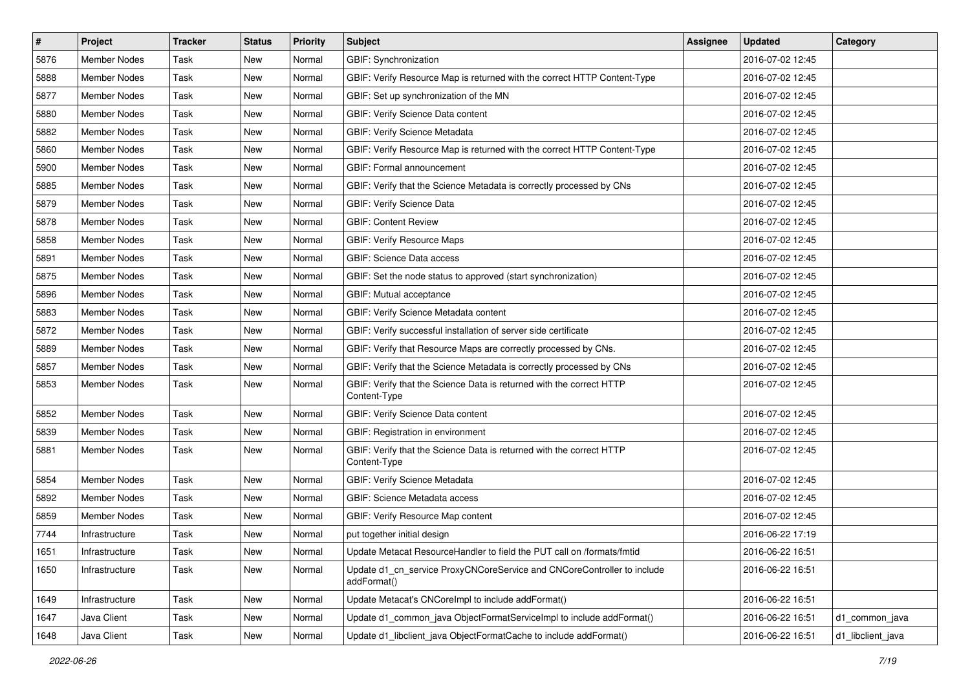| $\vert$ # | <b>Project</b>      | <b>Tracker</b> | <b>Status</b> | <b>Priority</b> | <b>Subject</b>                                                                         | Assignee | <b>Updated</b>   | Category          |
|-----------|---------------------|----------------|---------------|-----------------|----------------------------------------------------------------------------------------|----------|------------------|-------------------|
| 5876      | Member Nodes        | Task           | New           | Normal          | GBIF: Synchronization                                                                  |          | 2016-07-02 12:45 |                   |
| 5888      | Member Nodes        | Task           | New           | Normal          | GBIF: Verify Resource Map is returned with the correct HTTP Content-Type               |          | 2016-07-02 12:45 |                   |
| 5877      | <b>Member Nodes</b> | Task           | New           | Normal          | GBIF: Set up synchronization of the MN                                                 |          | 2016-07-02 12:45 |                   |
| 5880      | <b>Member Nodes</b> | Task           | New           | Normal          | GBIF: Verify Science Data content                                                      |          | 2016-07-02 12:45 |                   |
| 5882      | Member Nodes        | Task           | New           | Normal          | GBIF: Verify Science Metadata                                                          |          | 2016-07-02 12:45 |                   |
| 5860      | <b>Member Nodes</b> | Task           | New           | Normal          | GBIF: Verify Resource Map is returned with the correct HTTP Content-Type               |          | 2016-07-02 12:45 |                   |
| 5900      | Member Nodes        | Task           | New           | Normal          | GBIF: Formal announcement                                                              |          | 2016-07-02 12:45 |                   |
| 5885      | <b>Member Nodes</b> | Task           | New           | Normal          | GBIF: Verify that the Science Metadata is correctly processed by CNs                   |          | 2016-07-02 12:45 |                   |
| 5879      | Member Nodes        | Task           | New           | Normal          | <b>GBIF: Verify Science Data</b>                                                       |          | 2016-07-02 12:45 |                   |
| 5878      | Member Nodes        | Task           | New           | Normal          | <b>GBIF: Content Review</b>                                                            |          | 2016-07-02 12:45 |                   |
| 5858      | Member Nodes        | Task           | New           | Normal          | <b>GBIF: Verify Resource Maps</b>                                                      |          | 2016-07-02 12:45 |                   |
| 5891      | Member Nodes        | Task           | New           | Normal          | GBIF: Science Data access                                                              |          | 2016-07-02 12:45 |                   |
| 5875      | <b>Member Nodes</b> | Task           | New           | Normal          | GBIF: Set the node status to approved (start synchronization)                          |          | 2016-07-02 12:45 |                   |
| 5896      | Member Nodes        | Task           | New           | Normal          | GBIF: Mutual acceptance                                                                |          | 2016-07-02 12:45 |                   |
| 5883      | Member Nodes        | Task           | New           | Normal          | GBIF: Verify Science Metadata content                                                  |          | 2016-07-02 12:45 |                   |
| 5872      | <b>Member Nodes</b> | Task           | New           | Normal          | GBIF: Verify successful installation of server side certificate                        |          | 2016-07-02 12:45 |                   |
| 5889      | Member Nodes        | Task           | New           | Normal          | GBIF: Verify that Resource Maps are correctly processed by CNs.                        |          | 2016-07-02 12:45 |                   |
| 5857      | Member Nodes        | Task           | New           | Normal          | GBIF: Verify that the Science Metadata is correctly processed by CNs                   |          | 2016-07-02 12:45 |                   |
| 5853      | Member Nodes        | Task           | New           | Normal          | GBIF: Verify that the Science Data is returned with the correct HTTP<br>Content-Type   |          | 2016-07-02 12:45 |                   |
| 5852      | <b>Member Nodes</b> | Task           | New           | Normal          | GBIF: Verify Science Data content                                                      |          | 2016-07-02 12:45 |                   |
| 5839      | Member Nodes        | Task           | New           | Normal          | GBIF: Registration in environment                                                      |          | 2016-07-02 12:45 |                   |
| 5881      | Member Nodes        | Task           | New           | Normal          | GBIF: Verify that the Science Data is returned with the correct HTTP<br>Content-Type   |          | 2016-07-02 12:45 |                   |
| 5854      | Member Nodes        | Task           | New           | Normal          | GBIF: Verify Science Metadata                                                          |          | 2016-07-02 12:45 |                   |
| 5892      | <b>Member Nodes</b> | Task           | New           | Normal          | GBIF: Science Metadata access                                                          |          | 2016-07-02 12:45 |                   |
| 5859      | Member Nodes        | Task           | New           | Normal          | GBIF: Verify Resource Map content                                                      |          | 2016-07-02 12:45 |                   |
| 7744      | Infrastructure      | Task           | New           | Normal          | put together initial design                                                            |          | 2016-06-22 17:19 |                   |
| 1651      | Infrastructure      | Task           | New           | Normal          | Update Metacat ResourceHandler to field the PUT call on /formats/fmtid                 |          | 2016-06-22 16:51 |                   |
| 1650      | Infrastructure      | Task           | New           | Normal          | Update d1_cn_service ProxyCNCoreService and CNCoreController to include<br>addFormat() |          | 2016-06-22 16:51 |                   |
| 1649      | Infrastructure      | Task           | New           | Normal          | Update Metacat's CNCorelmpl to include addFormat()                                     |          | 2016-06-22 16:51 |                   |
| 1647      | Java Client         | Task           | New           | Normal          | Update d1_common_java ObjectFormatServiceImpl to include addFormat()                   |          | 2016-06-22 16:51 | d1_common_java    |
| 1648      | Java Client         | Task           | New           | Normal          | Update d1_libclient_java ObjectFormatCache to include addFormat()                      |          | 2016-06-22 16:51 | d1_libclient_java |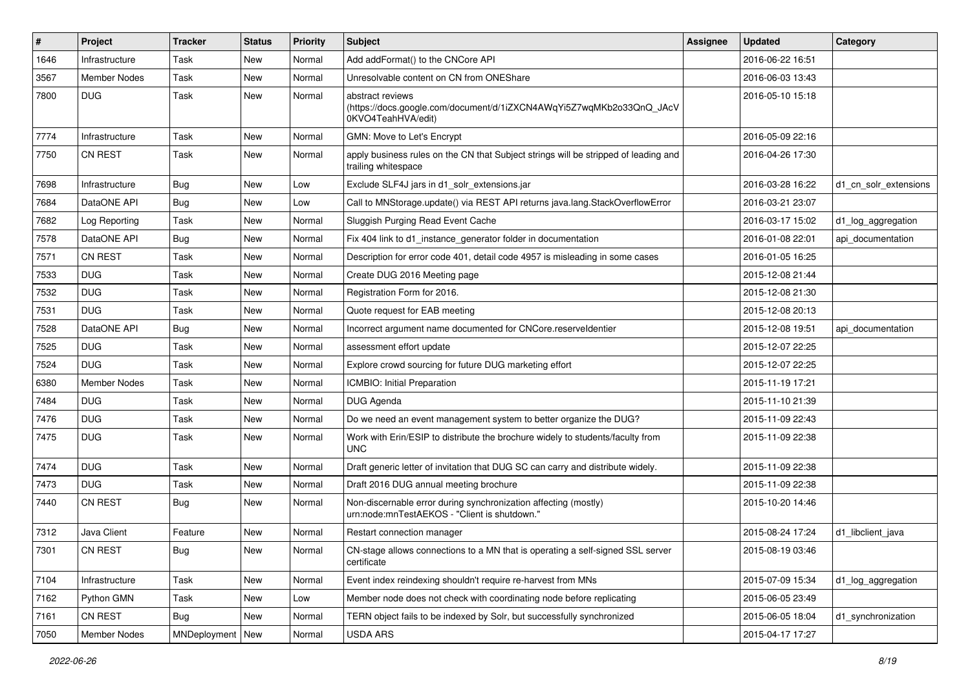| #    | Project             | <b>Tracker</b> | <b>Status</b> | <b>Priority</b> | <b>Subject</b>                                                                                                  | Assignee | <b>Updated</b>   | Category              |
|------|---------------------|----------------|---------------|-----------------|-----------------------------------------------------------------------------------------------------------------|----------|------------------|-----------------------|
| 1646 | Infrastructure      | Task           | New           | Normal          | Add addFormat() to the CNCore API                                                                               |          | 2016-06-22 16:51 |                       |
| 3567 | <b>Member Nodes</b> | Task           | New           | Normal          | Unresolvable content on CN from ONEShare                                                                        |          | 2016-06-03 13:43 |                       |
| 7800 | <b>DUG</b>          | Task           | New           | Normal          | abstract reviews<br>(https://docs.google.com/document/d/1iZXCN4AWqYi5Z7wqMKb2o33QnQ_JAcV<br>0KVO4TeahHVA/edit)  |          | 2016-05-10 15:18 |                       |
| 7774 | Infrastructure      | Task           | New           | Normal          | GMN: Move to Let's Encrypt                                                                                      |          | 2016-05-09 22:16 |                       |
| 7750 | <b>CN REST</b>      | Task           | New           | Normal          | apply business rules on the CN that Subject strings will be stripped of leading and<br>trailing whitespace      |          | 2016-04-26 17:30 |                       |
| 7698 | Infrastructure      | <b>Bug</b>     | New           | Low             | Exclude SLF4J jars in d1_solr_extensions.jar                                                                    |          | 2016-03-28 16:22 | d1 cn solr extensions |
| 7684 | DataONE API         | <b>Bug</b>     | New           | Low             | Call to MNStorage.update() via REST API returns java.lang.StackOverflowError                                    |          | 2016-03-21 23:07 |                       |
| 7682 | Log Reporting       | Task           | New           | Normal          | Sluggish Purging Read Event Cache                                                                               |          | 2016-03-17 15:02 | d1_log_aggregation    |
| 7578 | DataONE API         | Bug            | New           | Normal          | Fix 404 link to d1_instance_generator folder in documentation                                                   |          | 2016-01-08 22:01 | api documentation     |
| 7571 | <b>CN REST</b>      | Task           | New           | Normal          | Description for error code 401, detail code 4957 is misleading in some cases                                    |          | 2016-01-05 16:25 |                       |
| 7533 | <b>DUG</b>          | Task           | New           | Normal          | Create DUG 2016 Meeting page                                                                                    |          | 2015-12-08 21:44 |                       |
| 7532 | <b>DUG</b>          | Task           | New           | Normal          | Registration Form for 2016.                                                                                     |          | 2015-12-08 21:30 |                       |
| 7531 | <b>DUG</b>          | Task           | New           | Normal          | Quote request for EAB meeting                                                                                   |          | 2015-12-08 20:13 |                       |
| 7528 | DataONE API         | Bug            | New           | Normal          | Incorrect argument name documented for CNCore.reserveldentier                                                   |          | 2015-12-08 19:51 | api documentation     |
| 7525 | <b>DUG</b>          | Task           | New           | Normal          | assessment effort update                                                                                        |          | 2015-12-07 22:25 |                       |
| 7524 | <b>DUG</b>          | Task           | New           | Normal          | Explore crowd sourcing for future DUG marketing effort                                                          |          | 2015-12-07 22:25 |                       |
| 6380 | Member Nodes        | Task           | New           | Normal          | ICMBIO: Initial Preparation                                                                                     |          | 2015-11-19 17:21 |                       |
| 7484 | <b>DUG</b>          | Task           | New           | Normal          | DUG Agenda                                                                                                      |          | 2015-11-10 21:39 |                       |
| 7476 | <b>DUG</b>          | Task           | New           | Normal          | Do we need an event management system to better organize the DUG?                                               |          | 2015-11-09 22:43 |                       |
| 7475 | <b>DUG</b>          | Task           | New           | Normal          | Work with Erin/ESIP to distribute the brochure widely to students/faculty from<br><b>UNC</b>                    |          | 2015-11-09 22:38 |                       |
| 7474 | <b>DUG</b>          | Task           | New           | Normal          | Draft generic letter of invitation that DUG SC can carry and distribute widely.                                 |          | 2015-11-09 22:38 |                       |
| 7473 | <b>DUG</b>          | Task           | New           | Normal          | Draft 2016 DUG annual meeting brochure                                                                          |          | 2015-11-09 22:38 |                       |
| 7440 | <b>CN REST</b>      | <b>Bug</b>     | New           | Normal          | Non-discernable error during synchronization affecting (mostly)<br>urn:node:mnTestAEKOS - "Client is shutdown." |          | 2015-10-20 14:46 |                       |
| 7312 | Java Client         | Feature        | New           | Normal          | Restart connection manager                                                                                      |          | 2015-08-24 17:24 | d1 libclient java     |
| 7301 | CN REST             | Bug            | New           | Normal          | CN-stage allows connections to a MN that is operating a self-signed SSL server<br>certificate                   |          | 2015-08-19 03:46 |                       |
| 7104 | Infrastructure      | Task           | New           | Normal          | Event index reindexing shouldn't require re-harvest from MNs                                                    |          | 2015-07-09 15:34 | d1_log_aggregation    |
| 7162 | Python GMN          | Task           | New           | Low             | Member node does not check with coordinating node before replicating                                            |          | 2015-06-05 23:49 |                       |
| 7161 | CN REST             | <b>Bug</b>     | New           | Normal          | TERN object fails to be indexed by Solr, but successfully synchronized                                          |          | 2015-06-05 18:04 | d1_synchronization    |
| 7050 | Member Nodes        | MNDeployment   | New           | Normal          | USDA ARS                                                                                                        |          | 2015-04-17 17:27 |                       |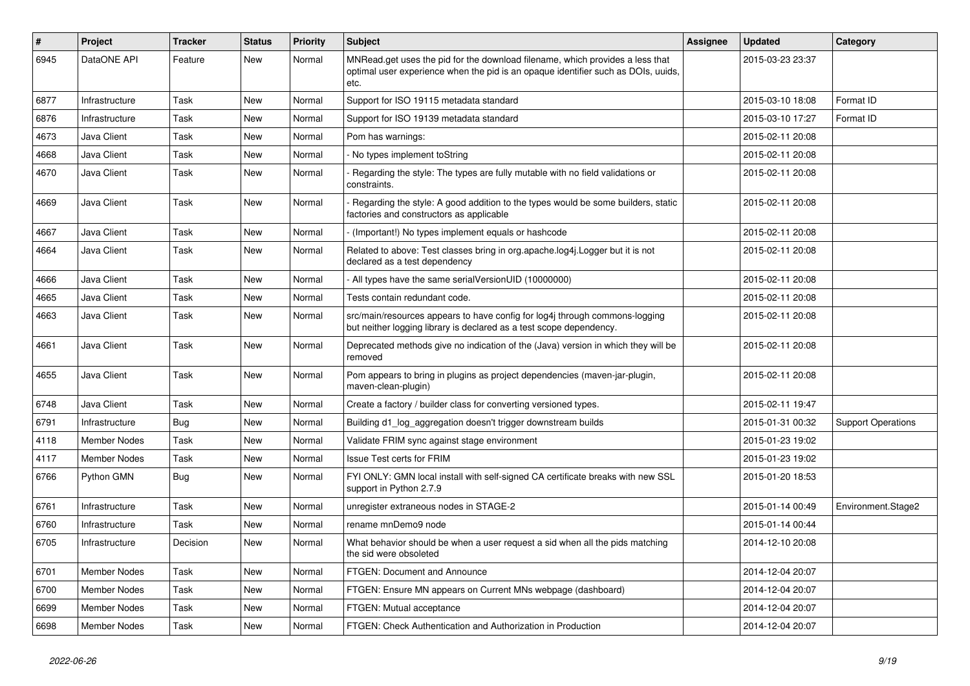| $\vert$ # | Project             | <b>Tracker</b> | <b>Status</b> | <b>Priority</b> | <b>Subject</b>                                                                                                                                                             | Assignee | <b>Updated</b>   | Category                  |
|-----------|---------------------|----------------|---------------|-----------------|----------------------------------------------------------------------------------------------------------------------------------------------------------------------------|----------|------------------|---------------------------|
| 6945      | DataONE API         | Feature        | New           | Normal          | MNRead.get uses the pid for the download filename, which provides a less that<br>optimal user experience when the pid is an opaque identifier such as DOIs, uuids,<br>etc. |          | 2015-03-23 23:37 |                           |
| 6877      | Infrastructure      | Task           | New           | Normal          | Support for ISO 19115 metadata standard                                                                                                                                    |          | 2015-03-10 18:08 | Format ID                 |
| 6876      | Infrastructure      | Task           | New           | Normal          | Support for ISO 19139 metadata standard                                                                                                                                    |          | 2015-03-10 17:27 | Format ID                 |
| 4673      | Java Client         | Task           | New           | Normal          | Pom has warnings:                                                                                                                                                          |          | 2015-02-11 20:08 |                           |
| 4668      | Java Client         | Task           | New           | Normal          | No types implement toString                                                                                                                                                |          | 2015-02-11 20:08 |                           |
| 4670      | Java Client         | Task           | New           | Normal          | Regarding the style: The types are fully mutable with no field validations or<br>constraints.                                                                              |          | 2015-02-11 20:08 |                           |
| 4669      | Java Client         | Task           | New           | Normal          | Regarding the style: A good addition to the types would be some builders, static<br>factories and constructors as applicable                                               |          | 2015-02-11 20:08 |                           |
| 4667      | Java Client         | Task           | <b>New</b>    | Normal          | - (Important!) No types implement equals or hashcode                                                                                                                       |          | 2015-02-11 20:08 |                           |
| 4664      | Java Client         | Task           | <b>New</b>    | Normal          | Related to above: Test classes bring in org.apache.log4j.Logger but it is not<br>declared as a test dependency                                                             |          | 2015-02-11 20:08 |                           |
| 4666      | Java Client         | Task           | New           | Normal          | - All types have the same serialVersionUID (10000000)                                                                                                                      |          | 2015-02-11 20:08 |                           |
| 4665      | Java Client         | Task           | New           | Normal          | Tests contain redundant code.                                                                                                                                              |          | 2015-02-11 20:08 |                           |
| 4663      | Java Client         | Task           | New           | Normal          | src/main/resources appears to have config for log4j through commons-logging<br>but neither logging library is declared as a test scope dependency.                         |          | 2015-02-11 20:08 |                           |
| 4661      | Java Client         | Task           | New           | Normal          | Deprecated methods give no indication of the (Java) version in which they will be<br>removed                                                                               |          | 2015-02-11 20:08 |                           |
| 4655      | Java Client         | Task           | New           | Normal          | Pom appears to bring in plugins as project dependencies (maven-jar-plugin,<br>maven-clean-plugin)                                                                          |          | 2015-02-11 20:08 |                           |
| 6748      | Java Client         | Task           | New           | Normal          | Create a factory / builder class for converting versioned types.                                                                                                           |          | 2015-02-11 19:47 |                           |
| 6791      | Infrastructure      | Bug            | New           | Normal          | Building d1_log_aggregation doesn't trigger downstream builds                                                                                                              |          | 2015-01-31 00:32 | <b>Support Operations</b> |
| 4118      | Member Nodes        | Task           | New           | Normal          | Validate FRIM sync against stage environment                                                                                                                               |          | 2015-01-23 19:02 |                           |
| 4117      | <b>Member Nodes</b> | Task           | New           | Normal          | <b>Issue Test certs for FRIM</b>                                                                                                                                           |          | 2015-01-23 19:02 |                           |
| 6766      | Python GMN          | Bug            | New           | Normal          | FYI ONLY: GMN local install with self-signed CA certificate breaks with new SSL<br>support in Python 2.7.9                                                                 |          | 2015-01-20 18:53 |                           |
| 6761      | Infrastructure      | <b>Task</b>    | <b>New</b>    | Normal          | unregister extraneous nodes in STAGE-2                                                                                                                                     |          | 2015-01-14 00:49 | Environment.Stage2        |
| 6760      | Infrastructure      | Task           | New           | Normal          | rename mnDemo9 node                                                                                                                                                        |          | 2015-01-14 00:44 |                           |
| 6705      | Infrastructure      | Decision       | <b>New</b>    | Normal          | What behavior should be when a user request a sid when all the pids matching<br>the sid were obsoleted                                                                     |          | 2014-12-10 20:08 |                           |
| 6701      | Member Nodes        | Task           | New           | Normal          | FTGEN: Document and Announce                                                                                                                                               |          | 2014-12-04 20:07 |                           |
| 6700      | <b>Member Nodes</b> | Task           | New           | Normal          | FTGEN: Ensure MN appears on Current MNs webpage (dashboard)                                                                                                                |          | 2014-12-04 20:07 |                           |
| 6699      | <b>Member Nodes</b> | Task           | New           | Normal          | FTGEN: Mutual acceptance                                                                                                                                                   |          | 2014-12-04 20:07 |                           |
| 6698      | <b>Member Nodes</b> | Task           | New           | Normal          | FTGEN: Check Authentication and Authorization in Production                                                                                                                |          | 2014-12-04 20:07 |                           |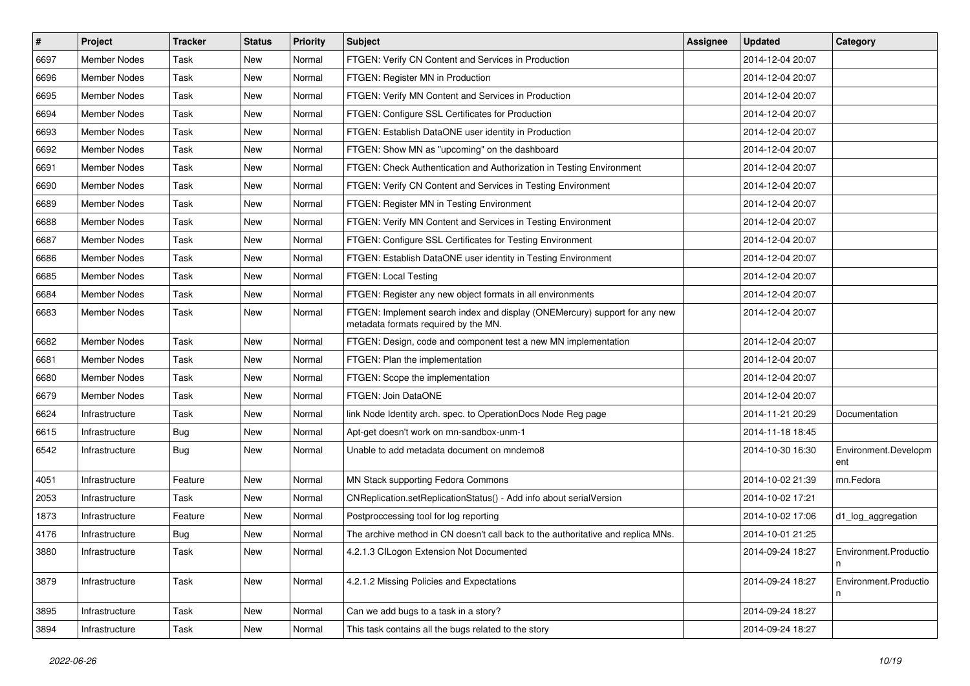| $\vert$ # | Project             | <b>Tracker</b> | <b>Status</b> | <b>Priority</b> | Subject                                                                                                            | Assignee | <b>Updated</b>   | Category                    |
|-----------|---------------------|----------------|---------------|-----------------|--------------------------------------------------------------------------------------------------------------------|----------|------------------|-----------------------------|
| 6697      | Member Nodes        | Task           | New           | Normal          | FTGEN: Verify CN Content and Services in Production                                                                |          | 2014-12-04 20:07 |                             |
| 6696      | Member Nodes        | Task           | New           | Normal          | FTGEN: Register MN in Production                                                                                   |          | 2014-12-04 20:07 |                             |
| 6695      | Member Nodes        | Task           | New           | Normal          | FTGEN: Verify MN Content and Services in Production                                                                |          | 2014-12-04 20:07 |                             |
| 6694      | Member Nodes        | Task           | New           | Normal          | FTGEN: Configure SSL Certificates for Production                                                                   |          | 2014-12-04 20:07 |                             |
| 6693      | Member Nodes        | Task           | New           | Normal          | FTGEN: Establish DataONE user identity in Production                                                               |          | 2014-12-04 20:07 |                             |
| 6692      | Member Nodes        | Task           | New           | Normal          | FTGEN: Show MN as "upcoming" on the dashboard                                                                      |          | 2014-12-04 20:07 |                             |
| 6691      | Member Nodes        | Task           | New           | Normal          | FTGEN: Check Authentication and Authorization in Testing Environment                                               |          | 2014-12-04 20:07 |                             |
| 6690      | Member Nodes        | Task           | New           | Normal          | FTGEN: Verify CN Content and Services in Testing Environment                                                       |          | 2014-12-04 20:07 |                             |
| 6689      | <b>Member Nodes</b> | Task           | New           | Normal          | FTGEN: Register MN in Testing Environment                                                                          |          | 2014-12-04 20:07 |                             |
| 6688      | <b>Member Nodes</b> | Task           | New           | Normal          | FTGEN: Verify MN Content and Services in Testing Environment                                                       |          | 2014-12-04 20:07 |                             |
| 6687      | Member Nodes        | Task           | New           | Normal          | FTGEN: Configure SSL Certificates for Testing Environment                                                          |          | 2014-12-04 20:07 |                             |
| 6686      | <b>Member Nodes</b> | Task           | New           | Normal          | FTGEN: Establish DataONE user identity in Testing Environment                                                      |          | 2014-12-04 20:07 |                             |
| 6685      | <b>Member Nodes</b> | Task           | New           | Normal          | FTGEN: Local Testing                                                                                               |          | 2014-12-04 20:07 |                             |
| 6684      | <b>Member Nodes</b> | Task           | New           | Normal          | FTGEN: Register any new object formats in all environments                                                         |          | 2014-12-04 20:07 |                             |
| 6683      | Member Nodes        | Task           | New           | Normal          | FTGEN: Implement search index and display (ONEMercury) support for any new<br>metadata formats required by the MN. |          | 2014-12-04 20:07 |                             |
| 6682      | <b>Member Nodes</b> | Task           | New           | Normal          | FTGEN: Design, code and component test a new MN implementation                                                     |          | 2014-12-04 20:07 |                             |
| 6681      | <b>Member Nodes</b> | Task           | New           | Normal          | FTGEN: Plan the implementation                                                                                     |          | 2014-12-04 20:07 |                             |
| 6680      | <b>Member Nodes</b> | Task           | New           | Normal          | FTGEN: Scope the implementation                                                                                    |          | 2014-12-04 20:07 |                             |
| 6679      | <b>Member Nodes</b> | Task           | <b>New</b>    | Normal          | FTGEN: Join DataONE                                                                                                |          | 2014-12-04 20:07 |                             |
| 6624      | Infrastructure      | Task           | New           | Normal          | link Node Identity arch. spec. to OperationDocs Node Reg page                                                      |          | 2014-11-21 20:29 | Documentation               |
| 6615      | Infrastructure      | <b>Bug</b>     | New           | Normal          | Apt-get doesn't work on mn-sandbox-unm-1                                                                           |          | 2014-11-18 18:45 |                             |
| 6542      | Infrastructure      | Bug            | New           | Normal          | Unable to add metadata document on mndemo8                                                                         |          | 2014-10-30 16:30 | Environment.Developm<br>ent |
| 4051      | Infrastructure      | Feature        | New           | Normal          | MN Stack supporting Fedora Commons                                                                                 |          | 2014-10-02 21:39 | mn.Fedora                   |
| 2053      | Infrastructure      | Task           | New           | Normal          | CNReplication.setReplicationStatus() - Add info about serialVersion                                                |          | 2014-10-02 17:21 |                             |
| 1873      | Infrastructure      | Feature        | New           | Normal          | Postproccessing tool for log reporting                                                                             |          | 2014-10-02 17:06 | d1_log_aggregation          |
| 4176      | Infrastructure      | <b>Bug</b>     | New           | Normal          | The archive method in CN doesn't call back to the authoritative and replica MNs.                                   |          | 2014-10-01 21:25 |                             |
| 3880      | Infrastructure      | Task           | New           | Normal          | 4.2.1.3 CILogon Extension Not Documented                                                                           |          | 2014-09-24 18:27 | Environment.Productio<br>n  |
| 3879      | Infrastructure      | Task           | New           | Normal          | 4.2.1.2 Missing Policies and Expectations                                                                          |          | 2014-09-24 18:27 | Environment.Productio<br>n  |
| 3895      | Infrastructure      | Task           | New           | Normal          | Can we add bugs to a task in a story?                                                                              |          | 2014-09-24 18:27 |                             |
| 3894      | Infrastructure      | Task           | New           | Normal          | This task contains all the bugs related to the story                                                               |          | 2014-09-24 18:27 |                             |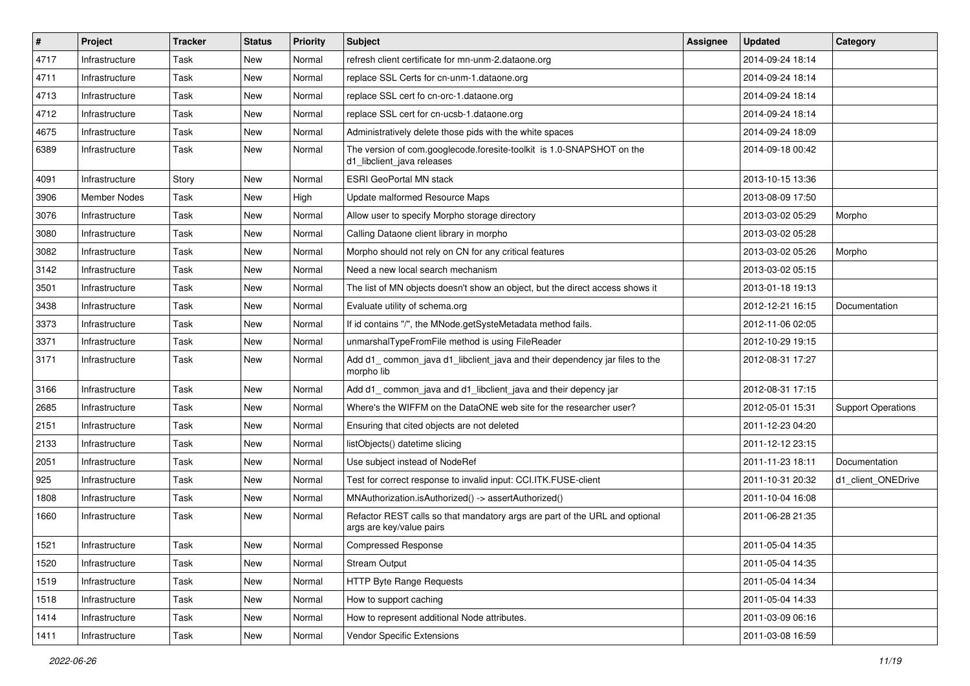| $\#$ | Project             | <b>Tracker</b> | <b>Status</b> | <b>Priority</b> | <b>Subject</b>                                                                                          | Assignee | <b>Updated</b>   | Category                  |
|------|---------------------|----------------|---------------|-----------------|---------------------------------------------------------------------------------------------------------|----------|------------------|---------------------------|
| 4717 | Infrastructure      | Task           | New           | Normal          | refresh client certificate for mn-unm-2.dataone.org                                                     |          | 2014-09-24 18:14 |                           |
| 4711 | Infrastructure      | <b>Task</b>    | New           | Normal          | replace SSL Certs for cn-unm-1.dataone.org                                                              |          | 2014-09-24 18:14 |                           |
| 4713 | Infrastructure      | Task           | New           | Normal          | replace SSL cert fo cn-orc-1.dataone.org                                                                |          | 2014-09-24 18:14 |                           |
| 4712 | Infrastructure      | Task           | New           | Normal          | replace SSL cert for cn-ucsb-1.dataone.org                                                              |          | 2014-09-24 18:14 |                           |
| 4675 | Infrastructure      | <b>Task</b>    | New           | Normal          | Administratively delete those pids with the white spaces                                                |          | 2014-09-24 18:09 |                           |
| 6389 | Infrastructure      | Task           | New           | Normal          | The version of com.googlecode.foresite-toolkit is 1.0-SNAPSHOT on the<br>d1_libclient_java releases     |          | 2014-09-18 00:42 |                           |
| 4091 | Infrastructure      | Story          | New           | Normal          | <b>ESRI GeoPortal MN stack</b>                                                                          |          | 2013-10-15 13:36 |                           |
| 3906 | <b>Member Nodes</b> | Task           | New           | High            | Update malformed Resource Maps                                                                          |          | 2013-08-09 17:50 |                           |
| 3076 | Infrastructure      | Task           | <b>New</b>    | Normal          | Allow user to specify Morpho storage directory                                                          |          | 2013-03-02 05:29 | Morpho                    |
| 3080 | Infrastructure      | Task           | New           | Normal          | Calling Dataone client library in morpho                                                                |          | 2013-03-02 05:28 |                           |
| 3082 | Infrastructure      | Task           | New           | Normal          | Morpho should not rely on CN for any critical features                                                  |          | 2013-03-02 05:26 | Morpho                    |
| 3142 | Infrastructure      | <b>Task</b>    | New           | Normal          | Need a new local search mechanism                                                                       |          | 2013-03-02 05:15 |                           |
| 3501 | Infrastructure      | Task           | New           | Normal          | The list of MN objects doesn't show an object, but the direct access shows it                           |          | 2013-01-18 19:13 |                           |
| 3438 | Infrastructure      | <b>Task</b>    | New           | Normal          | Evaluate utility of schema.org                                                                          |          | 2012-12-21 16:15 | Documentation             |
| 3373 | Infrastructure      | Task           | New           | Normal          | If id contains "/", the MNode.getSysteMetadata method fails.                                            |          | 2012-11-06 02:05 |                           |
| 3371 | Infrastructure      | <b>Task</b>    | New           | Normal          | unmarshalTypeFromFile method is using FileReader                                                        |          | 2012-10-29 19:15 |                           |
| 3171 | Infrastructure      | <b>Task</b>    | New           | Normal          | Add d1_common_java d1_libclient_java and their dependency jar files to the<br>morpho lib                |          | 2012-08-31 17:27 |                           |
| 3166 | Infrastructure      | <b>Task</b>    | New           | Normal          | Add d1_common_java and d1_libclient_java and their depency jar                                          |          | 2012-08-31 17:15 |                           |
| 2685 | Infrastructure      | <b>Task</b>    | New           | Normal          | Where's the WIFFM on the DataONE web site for the researcher user?                                      |          | 2012-05-01 15:31 | <b>Support Operations</b> |
| 2151 | Infrastructure      | <b>Task</b>    | New           | Normal          | Ensuring that cited objects are not deleted                                                             |          | 2011-12-23 04:20 |                           |
| 2133 | Infrastructure      | Task           | New           | Normal          | listObjects() datetime slicing                                                                          |          | 2011-12-12 23:15 |                           |
| 2051 | Infrastructure      | Task           | New           | Normal          | Use subject instead of NodeRef                                                                          |          | 2011-11-23 18:11 | Documentation             |
| 925  | Infrastructure      | <b>Task</b>    | New           | Normal          | Test for correct response to invalid input: CCI.ITK.FUSE-client                                         |          | 2011-10-31 20:32 | d1 client ONEDrive        |
| 1808 | Infrastructure      | Task           | New           | Normal          | MNAuthorization.isAuthorized() -> assertAuthorized()                                                    |          | 2011-10-04 16:08 |                           |
| 1660 | Infrastructure      | Task           | New           | Normal          | Refactor REST calls so that mandatory args are part of the URL and optional<br>args are key/value pairs |          | 2011-06-28 21:35 |                           |
| 1521 | Infrastructure      | Task           | New           | Normal          | Compressed Response                                                                                     |          | 2011-05-04 14:35 |                           |
| 1520 | Infrastructure      | Task           | New           | Normal          | <b>Stream Output</b>                                                                                    |          | 2011-05-04 14:35 |                           |
| 1519 | Infrastructure      | Task           | New           | Normal          | HTTP Byte Range Requests                                                                                |          | 2011-05-04 14:34 |                           |
| 1518 | Infrastructure      | Task           | New           | Normal          | How to support caching                                                                                  |          | 2011-05-04 14:33 |                           |
| 1414 | Infrastructure      | Task           | New           | Normal          | How to represent additional Node attributes.                                                            |          | 2011-03-09 06:16 |                           |
| 1411 | Infrastructure      | Task           | New           | Normal          | Vendor Specific Extensions                                                                              |          | 2011-03-08 16:59 |                           |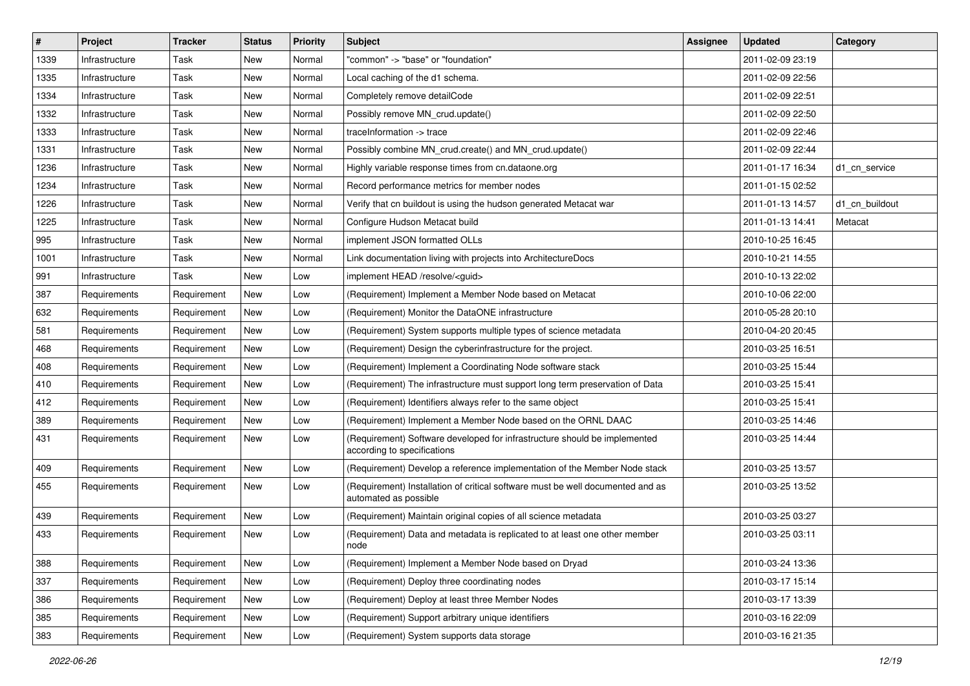| $\vert$ # | <b>Project</b> | <b>Tracker</b> | <b>Status</b> | <b>Priority</b> | <b>Subject</b>                                                                                           | Assignee | <b>Updated</b>   | Category       |
|-----------|----------------|----------------|---------------|-----------------|----------------------------------------------------------------------------------------------------------|----------|------------------|----------------|
| 1339      | Infrastructure | Task           | New           | Normal          | "common" -> "base" or "foundation"                                                                       |          | 2011-02-09 23:19 |                |
| 1335      | Infrastructure | Task           | New           | Normal          | Local caching of the d1 schema.                                                                          |          | 2011-02-09 22:56 |                |
| 1334      | Infrastructure | Task           | New           | Normal          | Completely remove detailCode                                                                             |          | 2011-02-09 22:51 |                |
| 1332      | Infrastructure | Task           | New           | Normal          | Possibly remove MN crud.update()                                                                         |          | 2011-02-09 22:50 |                |
| 1333      | Infrastructure | Task           | New           | Normal          | traceInformation -> trace                                                                                |          | 2011-02-09 22:46 |                |
| 1331      | Infrastructure | Task           | New           | Normal          | Possibly combine MN crud.create() and MN crud.update()                                                   |          | 2011-02-09 22:44 |                |
| 1236      | Infrastructure | Task           | New           | Normal          | Highly variable response times from cn.dataone.org                                                       |          | 2011-01-17 16:34 | d1 cn service  |
| 1234      | Infrastructure | Task           | New           | Normal          | Record performance metrics for member nodes                                                              |          | 2011-01-15 02:52 |                |
| 1226      | Infrastructure | Task           | New           | Normal          | Verify that cn buildout is using the hudson generated Metacat war                                        |          | 2011-01-13 14:57 | d1_cn_buildout |
| 1225      | Infrastructure | Task           | New           | Normal          | Configure Hudson Metacat build                                                                           |          | 2011-01-13 14:41 | Metacat        |
| 995       | Infrastructure | Task           | New           | Normal          | implement JSON formatted OLLs                                                                            |          | 2010-10-25 16:45 |                |
| 1001      | Infrastructure | Task           | New           | Normal          | Link documentation living with projects into ArchitectureDocs                                            |          | 2010-10-21 14:55 |                |
| 991       | Infrastructure | Task           | New           | Low             | implement HEAD /resolve/ <guid></guid>                                                                   |          | 2010-10-13 22:02 |                |
| 387       | Requirements   | Requirement    | <b>New</b>    | Low             | (Requirement) Implement a Member Node based on Metacat                                                   |          | 2010-10-06 22:00 |                |
| 632       | Requirements   | Requirement    | New           | Low             | (Requirement) Monitor the DataONE infrastructure                                                         |          | 2010-05-28 20:10 |                |
| 581       | Requirements   | Requirement    | New           | Low             | (Requirement) System supports multiple types of science metadata                                         |          | 2010-04-20 20:45 |                |
| 468       | Requirements   | Requirement    | New           | Low             | (Requirement) Design the cyberinfrastructure for the project.                                            |          | 2010-03-25 16:51 |                |
| 408       | Requirements   | Requirement    | New           | Low             | (Requirement) Implement a Coordinating Node software stack                                               |          | 2010-03-25 15:44 |                |
| 410       | Requirements   | Requirement    | New           | Low             | (Requirement) The infrastructure must support long term preservation of Data                             |          | 2010-03-25 15:41 |                |
| 412       | Requirements   | Requirement    | New           | Low             | (Requirement) Identifiers always refer to the same object                                                |          | 2010-03-25 15:41 |                |
| 389       | Requirements   | Requirement    | New           | Low             | (Requirement) Implement a Member Node based on the ORNL DAAC                                             |          | 2010-03-25 14:46 |                |
| 431       | Requirements   | Requirement    | New           | Low             | (Requirement) Software developed for infrastructure should be implemented<br>according to specifications |          | 2010-03-25 14:44 |                |
| 409       | Requirements   | Requirement    | New           | Low             | (Requirement) Develop a reference implementation of the Member Node stack                                |          | 2010-03-25 13:57 |                |
| 455       | Requirements   | Requirement    | <b>New</b>    | Low             | (Requirement) Installation of critical software must be well documented and as<br>automated as possible  |          | 2010-03-25 13:52 |                |
| 439       | Requirements   | Requirement    | New           | Low             | (Requirement) Maintain original copies of all science metadata                                           |          | 2010-03-25 03:27 |                |
| 433       | Requirements   | Requirement    | New           | Low             | (Requirement) Data and metadata is replicated to at least one other member<br>node                       |          | 2010-03-25 03:11 |                |
| 388       | Requirements   | Requirement    | New           | Low             | (Requirement) Implement a Member Node based on Dryad                                                     |          | 2010-03-24 13:36 |                |
| 337       | Requirements   | Requirement    | New           | Low             | (Requirement) Deploy three coordinating nodes                                                            |          | 2010-03-17 15:14 |                |
| 386       | Requirements   | Requirement    | New           | Low             | (Requirement) Deploy at least three Member Nodes                                                         |          | 2010-03-17 13:39 |                |
| 385       | Requirements   | Requirement    | New           | Low             | (Requirement) Support arbitrary unique identifiers                                                       |          | 2010-03-16 22:09 |                |
| 383       | Requirements   | Requirement    | New           | Low             | (Requirement) System supports data storage                                                               |          | 2010-03-16 21:35 |                |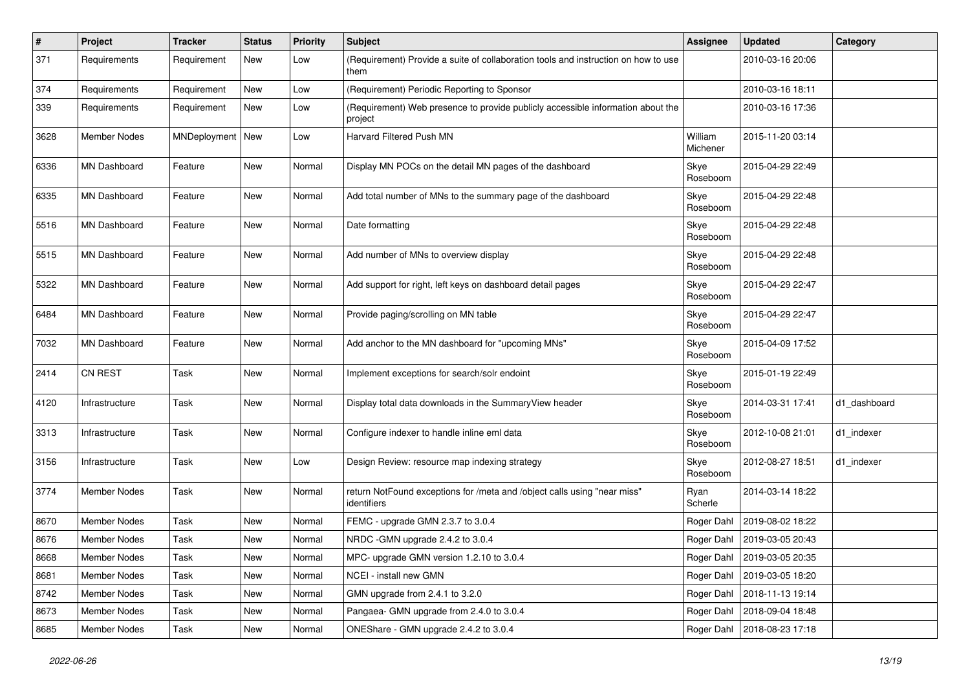| $\vert$ # | Project             | <b>Tracker</b>     | <b>Status</b> | <b>Priority</b> | <b>Subject</b>                                                                                 | Assignee            | <b>Updated</b>   | Category     |
|-----------|---------------------|--------------------|---------------|-----------------|------------------------------------------------------------------------------------------------|---------------------|------------------|--------------|
| 371       | Requirements        | Requirement        | New           | Low             | (Requirement) Provide a suite of collaboration tools and instruction on how to use<br>them     |                     | 2010-03-16 20:06 |              |
| 374       | Requirements        | Requirement        | New           | Low             | (Requirement) Periodic Reporting to Sponsor                                                    |                     | 2010-03-16 18:11 |              |
| 339       | Requirements        | Requirement        | New           | Low             | (Requirement) Web presence to provide publicly accessible information about the<br>project     |                     | 2010-03-16 17:36 |              |
| 3628      | <b>Member Nodes</b> | MNDeployment   New |               | Low             | Harvard Filtered Push MN                                                                       | William<br>Michener | 2015-11-20 03:14 |              |
| 6336      | <b>MN Dashboard</b> | Feature            | New           | Normal          | Display MN POCs on the detail MN pages of the dashboard                                        | Skye<br>Roseboom    | 2015-04-29 22:49 |              |
| 6335      | MN Dashboard        | Feature            | New           | Normal          | Add total number of MNs to the summary page of the dashboard                                   | Skye<br>Roseboom    | 2015-04-29 22:48 |              |
| 5516      | MN Dashboard        | Feature            | New           | Normal          | Date formatting                                                                                | Skye<br>Roseboom    | 2015-04-29 22:48 |              |
| 5515      | <b>MN Dashboard</b> | Feature            | New           | Normal          | Add number of MNs to overview display                                                          | Skye<br>Roseboom    | 2015-04-29 22:48 |              |
| 5322      | <b>MN Dashboard</b> | Feature            | <b>New</b>    | Normal          | Add support for right, left keys on dashboard detail pages                                     | Skye<br>Roseboom    | 2015-04-29 22:47 |              |
| 6484      | MN Dashboard        | Feature            | New           | Normal          | Provide paging/scrolling on MN table                                                           | Skye<br>Roseboom    | 2015-04-29 22:47 |              |
| 7032      | MN Dashboard        | Feature            | New           | Normal          | Add anchor to the MN dashboard for "upcoming MNs"                                              | Skye<br>Roseboom    | 2015-04-09 17:52 |              |
| 2414      | <b>CN REST</b>      | Task               | New           | Normal          | Implement exceptions for search/solr endoint                                                   | Skye<br>Roseboom    | 2015-01-19 22:49 |              |
| 4120      | Infrastructure      | Task               | New           | Normal          | Display total data downloads in the SummaryView header                                         | Skye<br>Roseboom    | 2014-03-31 17:41 | d1_dashboard |
| 3313      | Infrastructure      | Task               | New           | Normal          | Configure indexer to handle inline eml data                                                    | Skye<br>Roseboom    | 2012-10-08 21:01 | d1_indexer   |
| 3156      | Infrastructure      | Task               | <b>New</b>    | Low             | Design Review: resource map indexing strategy                                                  | Skye<br>Roseboom    | 2012-08-27 18:51 | d1_indexer   |
| 3774      | Member Nodes        | Task               | <b>New</b>    | Normal          | return NotFound exceptions for /meta and /object calls using "near miss"<br><i>identifiers</i> | Ryan<br>Scherle     | 2014-03-14 18:22 |              |
| 8670      | Member Nodes        | Task               | New           | Normal          | FEMC - upgrade GMN 2.3.7 to 3.0.4                                                              | Roger Dahl          | 2019-08-02 18:22 |              |
| 8676      | <b>Member Nodes</b> | Task               | New           | Normal          | NRDC - GMN upgrade 2.4.2 to 3.0.4                                                              | Roger Dahl          | 2019-03-05 20:43 |              |
| 8668      | Member Nodes        | Task               | New           | Normal          | MPC- upgrade GMN version 1.2.10 to 3.0.4                                                       | Roger Dahl          | 2019-03-05 20:35 |              |
| 8681      | Member Nodes        | Task               | <b>New</b>    | Normal          | NCEI - install new GMN                                                                         | Roger Dahl          | 2019-03-05 18:20 |              |
| 8742      | Member Nodes        | Task               | New           | Normal          | GMN upgrade from 2.4.1 to 3.2.0                                                                | Roger Dahl          | 2018-11-13 19:14 |              |
| 8673      | Member Nodes        | Task               | New           | Normal          | Pangaea- GMN upgrade from 2.4.0 to 3.0.4                                                       | Roger Dahl          | 2018-09-04 18:48 |              |
| 8685      | Member Nodes        | Task               | New           | Normal          | ONEShare - GMN upgrade 2.4.2 to 3.0.4                                                          | Roger Dahl          | 2018-08-23 17:18 |              |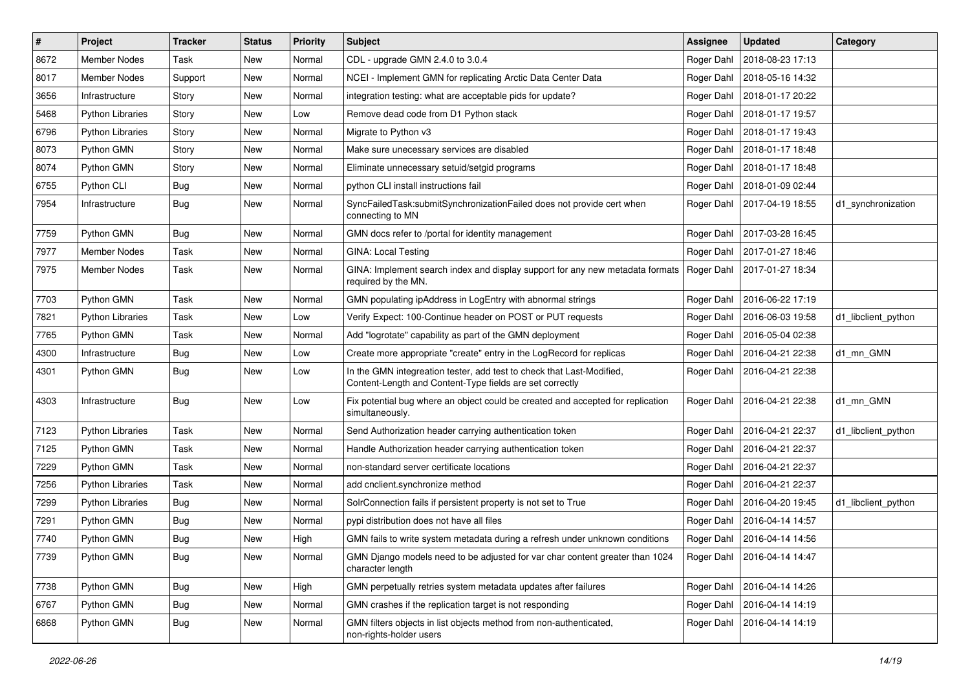| $\vert$ # | Project                 | <b>Tracker</b> | <b>Status</b> | <b>Priority</b> | Subject                                                                                                                           | Assignee   | <b>Updated</b>   | Category            |
|-----------|-------------------------|----------------|---------------|-----------------|-----------------------------------------------------------------------------------------------------------------------------------|------------|------------------|---------------------|
| 8672      | <b>Member Nodes</b>     | Task           | New           | Normal          | CDL - upgrade GMN 2.4.0 to 3.0.4                                                                                                  | Roger Dahl | 2018-08-23 17:13 |                     |
| 8017      | Member Nodes            | Support        | New           | Normal          | NCEI - Implement GMN for replicating Arctic Data Center Data                                                                      | Roger Dahl | 2018-05-16 14:32 |                     |
| 3656      | Infrastructure          | Story          | New           | Normal          | integration testing: what are acceptable pids for update?                                                                         | Roger Dahl | 2018-01-17 20:22 |                     |
| 5468      | <b>Python Libraries</b> | Story          | New           | Low             | Remove dead code from D1 Python stack                                                                                             | Roger Dahl | 2018-01-17 19:57 |                     |
| 6796      | <b>Python Libraries</b> | Story          | New           | Normal          | Migrate to Python v3                                                                                                              | Roger Dahl | 2018-01-17 19:43 |                     |
| 8073      | Python GMN              | Story          | New           | Normal          | Make sure unecessary services are disabled                                                                                        | Roger Dahl | 2018-01-17 18:48 |                     |
| 8074      | Python GMN              | Story          | New           | Normal          | Eliminate unnecessary setuid/setgid programs                                                                                      | Roger Dahl | 2018-01-17 18:48 |                     |
| 6755      | Python CLI              | Bug            | New           | Normal          | python CLI install instructions fail                                                                                              | Roger Dahl | 2018-01-09 02:44 |                     |
| 7954      | Infrastructure          | Bug            | New           | Normal          | SyncFailedTask:submitSynchronizationFailed does not provide cert when<br>connecting to MN                                         | Roger Dahl | 2017-04-19 18:55 | d1 synchronization  |
| 7759      | Python GMN              | Bug            | New           | Normal          | GMN docs refer to /portal for identity management                                                                                 | Roger Dahl | 2017-03-28 16:45 |                     |
| 7977      | Member Nodes            | Task           | New           | Normal          | <b>GINA: Local Testing</b>                                                                                                        | Roger Dahl | 2017-01-27 18:46 |                     |
| 7975      | Member Nodes            | Task           | New           | Normal          | GINA: Implement search index and display support for any new metadata formats<br>required by the MN.                              | Roger Dahl | 2017-01-27 18:34 |                     |
| 7703      | Python GMN              | Task           | <b>New</b>    | Normal          | GMN populating ipAddress in LogEntry with abnormal strings                                                                        | Roger Dahl | 2016-06-22 17:19 |                     |
| 7821      | <b>Python Libraries</b> | Task           | New           | Low             | Verify Expect: 100-Continue header on POST or PUT requests                                                                        | Roger Dahl | 2016-06-03 19:58 | d1_libclient_python |
| 7765      | Python GMN              | Task           | New           | Normal          | Add "logrotate" capability as part of the GMN deployment                                                                          | Roger Dahl | 2016-05-04 02:38 |                     |
| 4300      | Infrastructure          | <b>Bug</b>     | New           | Low             | Create more appropriate "create" entry in the LogRecord for replicas                                                              | Roger Dahl | 2016-04-21 22:38 | d1_mn_GMN           |
| 4301      | Python GMN              | Bug            | New           | Low             | In the GMN integreation tester, add test to check that Last-Modified,<br>Content-Length and Content-Type fields are set correctly | Roger Dahl | 2016-04-21 22:38 |                     |
| 4303      | Infrastructure          | <b>Bug</b>     | New           | Low             | Fix potential bug where an object could be created and accepted for replication<br>simultaneously.                                | Roger Dahl | 2016-04-21 22:38 | d1_mn_GMN           |
| 7123      | <b>Python Libraries</b> | Task           | New           | Normal          | Send Authorization header carrying authentication token                                                                           | Roger Dahl | 2016-04-21 22:37 | d1 libclient python |
| 7125      | Python GMN              | Task           | New           | Normal          | Handle Authorization header carrying authentication token                                                                         | Roger Dahl | 2016-04-21 22:37 |                     |
| 7229      | Python GMN              | Task           | New           | Normal          | non-standard server certificate locations                                                                                         | Roger Dahl | 2016-04-21 22:37 |                     |
| 7256      | <b>Python Libraries</b> | Task           | New           | Normal          | add cnclient.synchronize method                                                                                                   | Roger Dahl | 2016-04-21 22:37 |                     |
| 7299      | <b>Python Libraries</b> | Bug            | New           | Normal          | SolrConnection fails if persistent property is not set to True                                                                    | Roger Dahl | 2016-04-20 19:45 | d1 libclient python |
| 7291      | Python GMN              | Bug            | New           | Normal          | pypi distribution does not have all files                                                                                         | Roger Dahl | 2016-04-14 14:57 |                     |
| 7740      | Python GMN              | Bug            | New           | High            | GMN fails to write system metadata during a refresh under unknown conditions                                                      | Roger Dahl | 2016-04-14 14:56 |                     |
| 7739      | Python GMN              | <b>Bug</b>     | New           | Normal          | GMN Django models need to be adjusted for var char content greater than 1024<br>character length                                  | Roger Dahl | 2016-04-14 14:47 |                     |
| 7738      | Python GMN              | <b>Bug</b>     | New           | High            | GMN perpetually retries system metadata updates after failures                                                                    | Roger Dahl | 2016-04-14 14:26 |                     |
| 6767      | Python GMN              | Bug            | New           | Normal          | GMN crashes if the replication target is not responding                                                                           | Roger Dahl | 2016-04-14 14:19 |                     |
| 6868      | Python GMN              | <b>Bug</b>     | New           | Normal          | GMN filters objects in list objects method from non-authenticated,<br>non-rights-holder users                                     | Roger Dahl | 2016-04-14 14:19 |                     |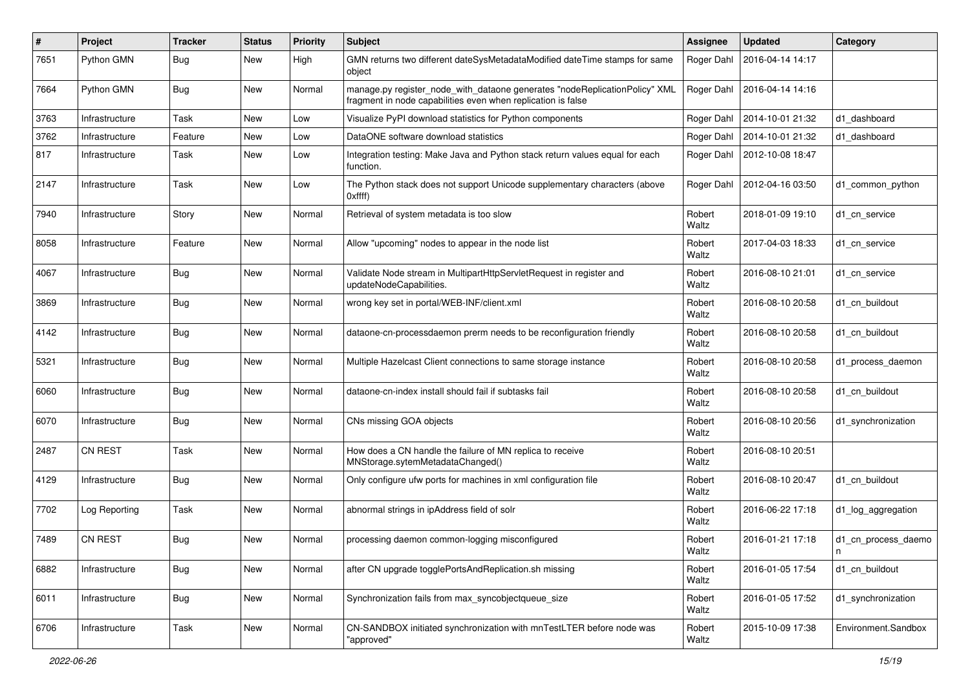| $\#$ | Project        | <b>Tracker</b> | <b>Status</b> | <b>Priority</b> | <b>Subject</b>                                                                                                                             | <b>Assignee</b> | <b>Updated</b>   | Category                 |
|------|----------------|----------------|---------------|-----------------|--------------------------------------------------------------------------------------------------------------------------------------------|-----------------|------------------|--------------------------|
| 7651 | Python GMN     | <b>Bug</b>     | New           | High            | GMN returns two different dateSysMetadataModified dateTime stamps for same<br>object                                                       | Roger Dahl      | 2016-04-14 14:17 |                          |
| 7664 | Python GMN     | <b>Bug</b>     | New           | Normal          | manage.py register_node_with_dataone generates "nodeReplicationPolicy" XML<br>fragment in node capabilities even when replication is false | Roger Dahl      | 2016-04-14 14:16 |                          |
| 3763 | Infrastructure | Task           | <b>New</b>    | Low             | Visualize PyPI download statistics for Python components                                                                                   | Roger Dahl      | 2014-10-01 21:32 | d1 dashboard             |
| 3762 | Infrastructure | Feature        | New           | Low             | DataONE software download statistics                                                                                                       | Roger Dahl      | 2014-10-01 21:32 | d1 dashboard             |
| 817  | Infrastructure | Task           | New           | Low             | Integration testing: Make Java and Python stack return values equal for each<br>function.                                                  | Roger Dahl      | 2012-10-08 18:47 |                          |
| 2147 | Infrastructure | Task           | <b>New</b>    | Low             | The Python stack does not support Unicode supplementary characters (above<br>Oxffff                                                        | Roger Dahl      | 2012-04-16 03:50 | d1 common python         |
| 7940 | Infrastructure | Story          | New           | Normal          | Retrieval of system metadata is too slow                                                                                                   | Robert<br>Waltz | 2018-01-09 19:10 | d1 cn service            |
| 8058 | Infrastructure | Feature        | New           | Normal          | Allow "upcoming" nodes to appear in the node list                                                                                          | Robert<br>Waltz | 2017-04-03 18:33 | d1_cn_service            |
| 4067 | Infrastructure | <b>Bug</b>     | New           | Normal          | Validate Node stream in MultipartHttpServletRequest in register and<br>updateNodeCapabilities.                                             | Robert<br>Waltz | 2016-08-10 21:01 | d1_cn_service            |
| 3869 | Infrastructure | <b>Bug</b>     | New           | Normal          | wrong key set in portal/WEB-INF/client.xml                                                                                                 | Robert<br>Waltz | 2016-08-10 20:58 | d1 cn buildout           |
| 4142 | Infrastructure | <b>Bug</b>     | New           | Normal          | dataone-cn-processdaemon prerm needs to be reconfiguration friendly                                                                        | Robert<br>Waltz | 2016-08-10 20:58 | d1 cn buildout           |
| 5321 | Infrastructure | <b>Bug</b>     | New           | Normal          | Multiple Hazelcast Client connections to same storage instance                                                                             | Robert<br>Waltz | 2016-08-10 20:58 | d1 process daemon        |
| 6060 | Infrastructure | <b>Bug</b>     | New           | Normal          | dataone-cn-index install should fail if subtasks fail                                                                                      | Robert<br>Waltz | 2016-08-10 20:58 | d1_cn_buildout           |
| 6070 | Infrastructure | Bug            | New           | Normal          | CNs missing GOA objects                                                                                                                    | Robert<br>Waltz | 2016-08-10 20:56 | d1_synchronization       |
| 2487 | <b>CN REST</b> | Task           | <b>New</b>    | Normal          | How does a CN handle the failure of MN replica to receive<br>MNStorage.sytemMetadataChanged()                                              | Robert<br>Waltz | 2016-08-10 20:51 |                          |
| 4129 | Infrastructure | Bug            | New           | Normal          | Only configure ufw ports for machines in xml configuration file                                                                            | Robert<br>Waltz | 2016-08-10 20:47 | d1_cn_buildout           |
| 7702 | Log Reporting  | Task           | New           | Normal          | abnormal strings in ipAddress field of solr                                                                                                | Robert<br>Waltz | 2016-06-22 17:18 | d1_log_aggregation       |
| 7489 | <b>CN REST</b> | <b>Bug</b>     | New           | Normal          | processing daemon common-logging misconfigured                                                                                             | Robert<br>Waltz | 2016-01-21 17:18 | d1_cn_process_daemo<br>n |
| 6882 | Infrastructure | Bug            | New           | Normal          | after CN upgrade togglePortsAndReplication.sh missing                                                                                      | Robert<br>Waltz | 2016-01-05 17:54 | d1_cn_buildout           |
| 6011 | Infrastructure | <b>Bug</b>     | New           | Normal          | Synchronization fails from max_syncobjectqueue_size                                                                                        | Robert<br>Waltz | 2016-01-05 17:52 | d1_synchronization       |
| 6706 | Infrastructure | Task           | New           | Normal          | CN-SANDBOX initiated synchronization with mnTestLTER before node was<br>"approved"                                                         | Robert<br>Waltz | 2015-10-09 17:38 | Environment.Sandbox      |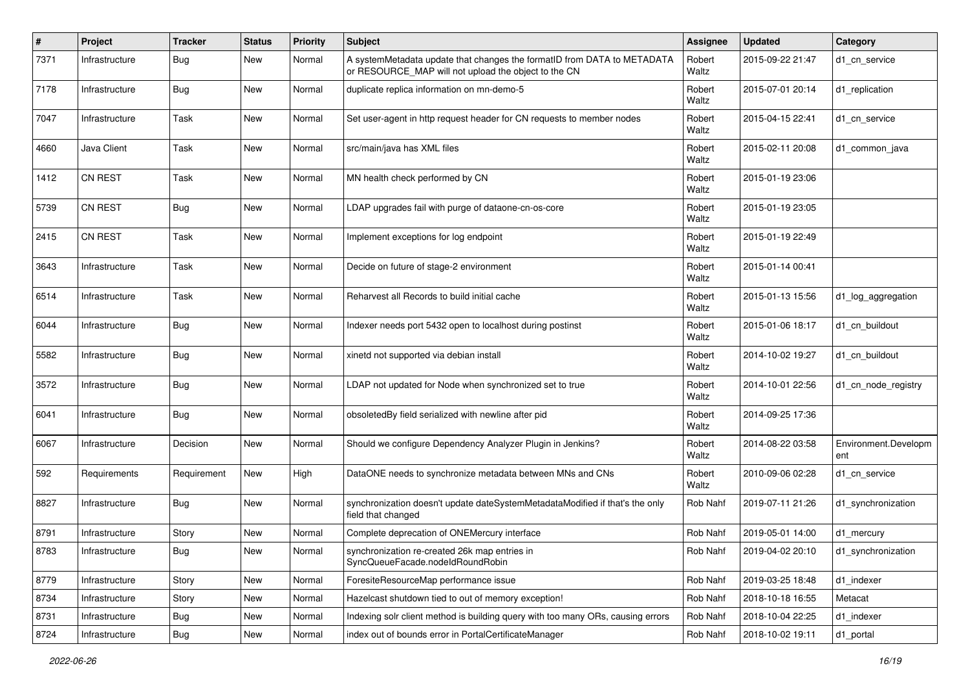| #    | Project        | <b>Tracker</b> | <b>Status</b> | <b>Priority</b> | Subject                                                                                                                         | Assignee        | <b>Updated</b>   | Category                    |
|------|----------------|----------------|---------------|-----------------|---------------------------------------------------------------------------------------------------------------------------------|-----------------|------------------|-----------------------------|
| 7371 | Infrastructure | Bug            | New           | Normal          | A systemMetadata update that changes the formatID from DATA to METADATA<br>or RESOURCE MAP will not upload the object to the CN | Robert<br>Waltz | 2015-09-22 21:47 | d1 cn service               |
| 7178 | Infrastructure | Bug            | New           | Normal          | duplicate replica information on mn-demo-5                                                                                      | Robert<br>Waltz | 2015-07-01 20:14 | d1_replication              |
| 7047 | Infrastructure | Task           | New           | Normal          | Set user-agent in http request header for CN requests to member nodes                                                           | Robert<br>Waltz | 2015-04-15 22:41 | d1_cn_service               |
| 4660 | Java Client    | Task           | New           | Normal          | src/main/java has XML files                                                                                                     | Robert<br>Waltz | 2015-02-11 20:08 | d1_common_java              |
| 1412 | CN REST        | Task           | New           | Normal          | MN health check performed by CN                                                                                                 | Robert<br>Waltz | 2015-01-19 23:06 |                             |
| 5739 | <b>CN REST</b> | Bug            | New           | Normal          | LDAP upgrades fail with purge of dataone-cn-os-core                                                                             | Robert<br>Waltz | 2015-01-19 23:05 |                             |
| 2415 | <b>CN REST</b> | Task           | New           | Normal          | Implement exceptions for log endpoint                                                                                           | Robert<br>Waltz | 2015-01-19 22:49 |                             |
| 3643 | Infrastructure | Task           | New           | Normal          | Decide on future of stage-2 environment                                                                                         | Robert<br>Waltz | 2015-01-14 00:41 |                             |
| 6514 | Infrastructure | Task           | New           | Normal          | Reharvest all Records to build initial cache                                                                                    | Robert<br>Waltz | 2015-01-13 15:56 | d1_log_aggregation          |
| 6044 | Infrastructure | Bug            | New           | Normal          | Indexer needs port 5432 open to localhost during postinst                                                                       | Robert<br>Waltz | 2015-01-06 18:17 | d1 cn buildout              |
| 5582 | Infrastructure | Bug            | New           | Normal          | xinetd not supported via debian install                                                                                         | Robert<br>Waltz | 2014-10-02 19:27 | d1 cn buildout              |
| 3572 | Infrastructure | Bug            | New           | Normal          | LDAP not updated for Node when synchronized set to true                                                                         | Robert<br>Waltz | 2014-10-01 22:56 | d1_cn_node_registry         |
| 6041 | Infrastructure | Bug            | New           | Normal          | obsoletedBy field serialized with newline after pid                                                                             | Robert<br>Waltz | 2014-09-25 17:36 |                             |
| 6067 | Infrastructure | Decision       | New           | Normal          | Should we configure Dependency Analyzer Plugin in Jenkins?                                                                      | Robert<br>Waltz | 2014-08-22 03:58 | Environment.Developm<br>ent |
| 592  | Requirements   | Requirement    | New           | High            | DataONE needs to synchronize metadata between MNs and CNs                                                                       | Robert<br>Waltz | 2010-09-06 02:28 | d1 cn service               |
| 8827 | Infrastructure | Bug            | New           | Normal          | synchronization doesn't update dateSystemMetadataModified if that's the only<br>field that changed                              | Rob Nahf        | 2019-07-11 21:26 | d1_synchronization          |
| 8791 | Infrastructure | Story          | New           | Normal          | Complete deprecation of ONEMercury interface                                                                                    | Rob Nahf        | 2019-05-01 14:00 | d1_mercury                  |
| 8783 | Infrastructure | <b>Bug</b>     | New           | Normal          | synchronization re-created 26k map entries in<br>SyncQueueFacade.nodeIdRoundRobin                                               | Rob Nahf        | 2019-04-02 20:10 | d1_synchronization          |
| 8779 | Infrastructure | Story          | New           | Normal          | ForesiteResourceMap performance issue                                                                                           | Rob Nahf        | 2019-03-25 18:48 | d1 indexer                  |
| 8734 | Infrastructure | Story          | New           | Normal          | Hazelcast shutdown tied to out of memory exception!                                                                             | Rob Nahf        | 2018-10-18 16:55 | Metacat                     |
| 8731 | Infrastructure | <b>Bug</b>     | New           | Normal          | Indexing solr client method is building query with too many ORs, causing errors                                                 | Rob Nahf        | 2018-10-04 22:25 | d1_indexer                  |
| 8724 | Infrastructure | Bug            | New           | Normal          | index out of bounds error in PortalCertificateManager                                                                           | Rob Nahf        | 2018-10-02 19:11 | d1_portal                   |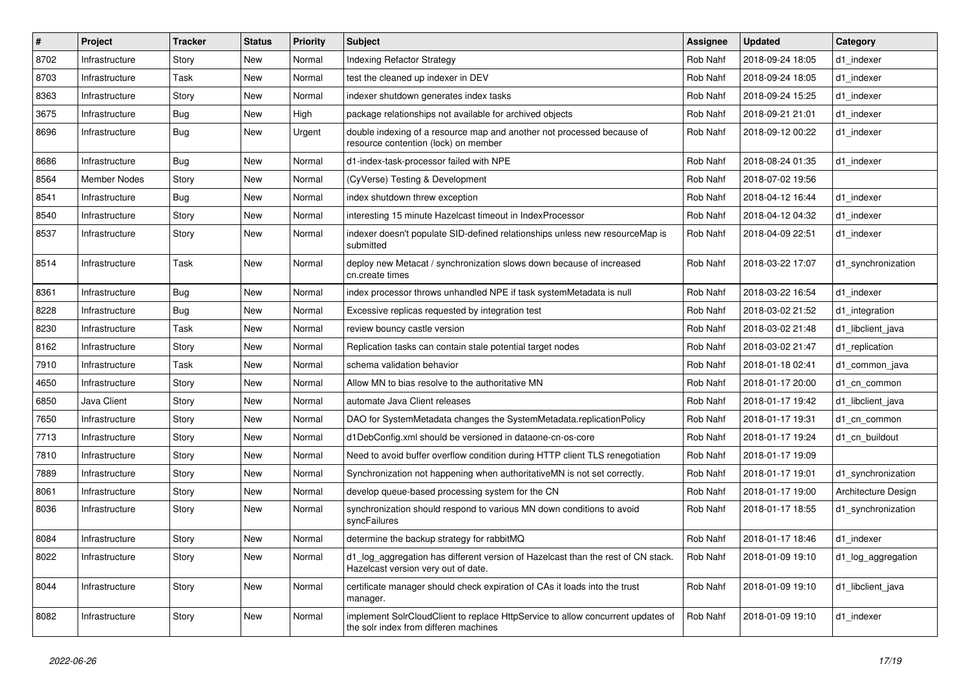| $\vert$ # | Project        | <b>Tracker</b> | <b>Status</b> | <b>Priority</b> | <b>Subject</b>                                                                                                           | <b>Assignee</b> | <b>Updated</b>   | Category            |
|-----------|----------------|----------------|---------------|-----------------|--------------------------------------------------------------------------------------------------------------------------|-----------------|------------------|---------------------|
| 8702      | Infrastructure | Story          | New           | Normal          | Indexing Refactor Strategy                                                                                               | Rob Nahf        | 2018-09-24 18:05 | d1 indexer          |
| 8703      | Infrastructure | Task           | New           | Normal          | test the cleaned up indexer in DEV                                                                                       | Rob Nahf        | 2018-09-24 18:05 | d1 indexer          |
| 8363      | Infrastructure | Story          | New           | Normal          | indexer shutdown generates index tasks                                                                                   | Rob Nahf        | 2018-09-24 15:25 | d1 indexer          |
| 3675      | Infrastructure | <b>Bug</b>     | New           | High            | package relationships not available for archived objects                                                                 | Rob Nahf        | 2018-09-21 21:01 | d1 indexer          |
| 8696      | Infrastructure | <b>Bug</b>     | New           | Urgent          | double indexing of a resource map and another not processed because of<br>resource contention (lock) on member           | Rob Nahf        | 2018-09-12 00:22 | d1 indexer          |
| 8686      | Infrastructure | Bug            | New           | Normal          | d1-index-task-processor failed with NPE                                                                                  | Rob Nahf        | 2018-08-24 01:35 | d1_indexer          |
| 8564      | Member Nodes   | Story          | New           | Normal          | (CyVerse) Testing & Development                                                                                          | Rob Nahf        | 2018-07-02 19:56 |                     |
| 8541      | Infrastructure | <b>Bug</b>     | New           | Normal          | index shutdown threw exception                                                                                           | Rob Nahf        | 2018-04-12 16:44 | d1_indexer          |
| 8540      | Infrastructure | Story          | New           | Normal          | interesting 15 minute Hazelcast timeout in IndexProcessor                                                                | Rob Nahf        | 2018-04-12 04:32 | d1 indexer          |
| 8537      | Infrastructure | Story          | New           | Normal          | indexer doesn't populate SID-defined relationships unless new resourceMap is<br>submitted                                | Rob Nahf        | 2018-04-09 22:51 | d1 indexer          |
| 8514      | Infrastructure | Task           | New           | Normal          | deploy new Metacat / synchronization slows down because of increased<br>cn.create times                                  | Rob Nahf        | 2018-03-22 17:07 | d1_synchronization  |
| 8361      | Infrastructure | Bug            | New           | Normal          | index processor throws unhandled NPE if task systemMetadata is null                                                      | Rob Nahf        | 2018-03-22 16:54 | d1 indexer          |
| 8228      | Infrastructure | <b>Bug</b>     | New           | Normal          | Excessive replicas requested by integration test                                                                         | Rob Nahf        | 2018-03-02 21:52 | d1 integration      |
| 8230      | Infrastructure | Task           | New           | Normal          | review bouncy castle version                                                                                             | Rob Nahf        | 2018-03-02 21:48 | d1_libclient_java   |
| 8162      | Infrastructure | Story          | New           | Normal          | Replication tasks can contain stale potential target nodes                                                               | Rob Nahf        | 2018-03-02 21:47 | d1 replication      |
| 7910      | Infrastructure | Task           | New           | Normal          | schema validation behavior                                                                                               | Rob Nahf        | 2018-01-18 02:41 | d1 common java      |
| 4650      | Infrastructure | Story          | New           | Normal          | Allow MN to bias resolve to the authoritative MN                                                                         | Rob Nahf        | 2018-01-17 20:00 | d1_cn_common        |
| 6850      | Java Client    | Story          | New           | Normal          | automate Java Client releases                                                                                            | Rob Nahf        | 2018-01-17 19:42 | d1_libclient_java   |
| 7650      | Infrastructure | Story          | New           | Normal          | DAO for SystemMetadata changes the SystemMetadata.replicationPolicy                                                      | Rob Nahf        | 2018-01-17 19:31 | d1_cn_common        |
| 7713      | Infrastructure | Story          | New           | Normal          | d1DebConfig.xml should be versioned in dataone-cn-os-core                                                                | Rob Nahf        | 2018-01-17 19:24 | d1 cn buildout      |
| 7810      | Infrastructure | Story          | New           | Normal          | Need to avoid buffer overflow condition during HTTP client TLS renegotiation                                             | Rob Nahf        | 2018-01-17 19:09 |                     |
| 7889      | Infrastructure | Story          | New           | Normal          | Synchronization not happening when authoritativeMN is not set correctly.                                                 | Rob Nahf        | 2018-01-17 19:01 | d1_synchronization  |
| 8061      | Infrastructure | Story          | New           | Normal          | develop queue-based processing system for the CN                                                                         | Rob Nahf        | 2018-01-17 19:00 | Architecture Design |
| 8036      | Infrastructure | Story          | New           | Normal          | synchronization should respond to various MN down conditions to avoid<br>syncFailures                                    | Rob Nahf        | 2018-01-17 18:55 | d1_synchronization  |
| 8084      | Infrastructure | Story          | New           | Normal          | determine the backup strategy for rabbitMQ                                                                               | Rob Nahf        | 2018-01-17 18:46 | d1 indexer          |
| 8022      | Infrastructure | Story          | New           | Normal          | d1_log_aggregation has different version of Hazelcast than the rest of CN stack.<br>Hazelcast version very out of date.  | Rob Nahf        | 2018-01-09 19:10 | d1_log_aggregation  |
| 8044      | Infrastructure | Story          | New           | Normal          | certificate manager should check expiration of CAs it loads into the trust<br>manager.                                   | Rob Nahf        | 2018-01-09 19:10 | d1_libclient_java   |
| 8082      | Infrastructure | Story          | New           | Normal          | implement SolrCloudClient to replace HttpService to allow concurrent updates of<br>the solr index from differen machines | Rob Nahf        | 2018-01-09 19:10 | d1_indexer          |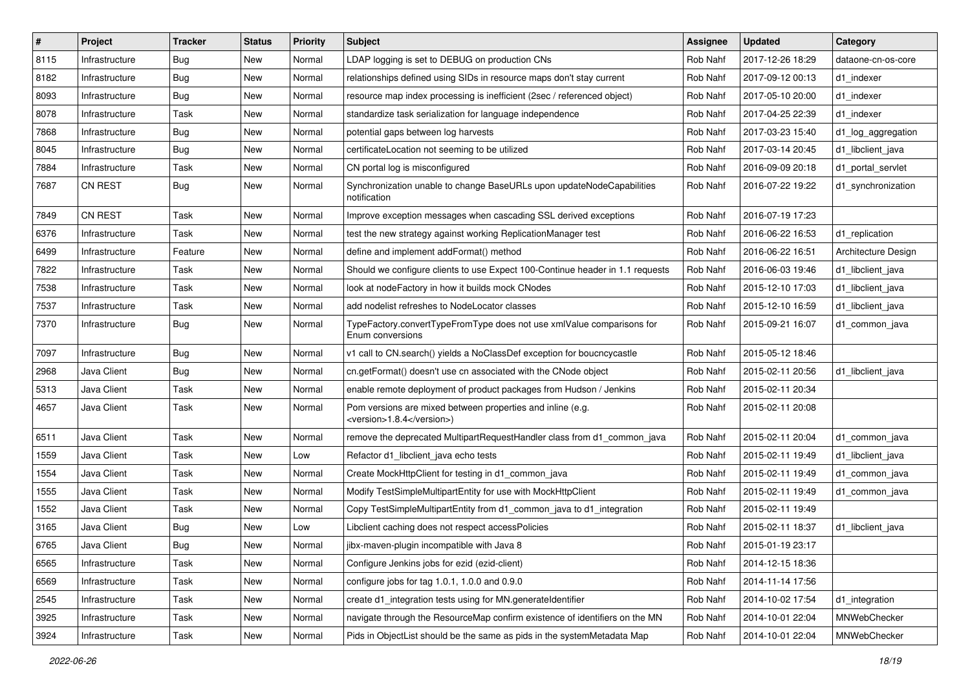| #    | Project        | <b>Tracker</b> | <b>Status</b> | <b>Priority</b> | <b>Subject</b>                                                                            | <b>Assignee</b> | <b>Updated</b>   | Category            |
|------|----------------|----------------|---------------|-----------------|-------------------------------------------------------------------------------------------|-----------------|------------------|---------------------|
| 8115 | Infrastructure | Bug            | New           | Normal          | LDAP logging is set to DEBUG on production CNs                                            | Rob Nahf        | 2017-12-26 18:29 | dataone-cn-os-core  |
| 8182 | Infrastructure | <b>Bug</b>     | New           | Normal          | relationships defined using SIDs in resource maps don't stay current                      | Rob Nahf        | 2017-09-12 00:13 | d1 indexer          |
| 8093 | Infrastructure | <b>Bug</b>     | New           | Normal          | resource map index processing is inefficient (2sec / referenced object)                   | Rob Nahf        | 2017-05-10 20:00 | d1 indexer          |
| 8078 | Infrastructure | Task           | New           | Normal          | standardize task serialization for language independence                                  | Rob Nahf        | 2017-04-25 22:39 | d1 indexer          |
| 7868 | Infrastructure | <b>Bug</b>     | New           | Normal          | potential gaps between log harvests                                                       | Rob Nahf        | 2017-03-23 15:40 | d1_log_aggregation  |
| 8045 | Infrastructure | Bug            | New           | Normal          | certificateLocation not seeming to be utilized                                            | Rob Nahf        | 2017-03-14 20:45 | d1_libclient_java   |
| 7884 | Infrastructure | Task           | New           | Normal          | CN portal log is misconfigured                                                            | Rob Nahf        | 2016-09-09 20:18 | d1_portal_servlet   |
| 7687 | <b>CN REST</b> | Bug            | New           | Normal          | Synchronization unable to change BaseURLs upon updateNodeCapabilities<br>notification     | Rob Nahf        | 2016-07-22 19:22 | d1_synchronization  |
| 7849 | CN REST        | Task           | New           | Normal          | Improve exception messages when cascading SSL derived exceptions                          | Rob Nahf        | 2016-07-19 17:23 |                     |
| 6376 | Infrastructure | Task           | New           | Normal          | test the new strategy against working ReplicationManager test                             | Rob Nahf        | 2016-06-22 16:53 | d1 replication      |
| 6499 | Infrastructure | Feature        | New           | Normal          | define and implement addFormat() method                                                   | Rob Nahf        | 2016-06-22 16:51 | Architecture Design |
| 7822 | Infrastructure | Task           | New           | Normal          | Should we configure clients to use Expect 100-Continue header in 1.1 requests             | Rob Nahf        | 2016-06-03 19:46 | d1_libclient_java   |
| 7538 | Infrastructure | Task           | New           | Normal          | look at nodeFactory in how it builds mock CNodes                                          | Rob Nahf        | 2015-12-10 17:03 | d1_libclient_java   |
| 7537 | Infrastructure | Task           | New           | Normal          | add nodelist refreshes to NodeLocator classes                                             | Rob Nahf        | 2015-12-10 16:59 | d1_libclient_java   |
| 7370 | Infrastructure | Bug            | New           | Normal          | TypeFactory.convertTypeFromType does not use xmlValue comparisons for<br>Enum conversions | Rob Nahf        | 2015-09-21 16:07 | d1_common_java      |
| 7097 | Infrastructure | Bug            | New           | Normal          | v1 call to CN.search() yields a NoClassDef exception for boucncycastle                    | Rob Nahf        | 2015-05-12 18:46 |                     |
| 2968 | Java Client    | Bug            | New           | Normal          | cn.getFormat() doesn't use cn associated with the CNode object                            | Rob Nahf        | 2015-02-11 20:56 | d1_libclient_java   |
| 5313 | Java Client    | Task           | New           | Normal          | enable remote deployment of product packages from Hudson / Jenkins                        | Rob Nahf        | 2015-02-11 20:34 |                     |
| 4657 | Java Client    | Task           | New           | Normal          | Pom versions are mixed between properties and inline (e.g.<br><version>1.8.4</version> )  | Rob Nahf        | 2015-02-11 20:08 |                     |
| 6511 | Java Client    | Task           | New           | Normal          | remove the deprecated MultipartRequestHandler class from d1_common_java                   | Rob Nahf        | 2015-02-11 20:04 | d1_common_java      |
| 1559 | Java Client    | Task           | New           | Low             | Refactor d1_libclient_java echo tests                                                     | Rob Nahf        | 2015-02-11 19:49 | d1_libclient_java   |
| 1554 | Java Client    | Task           | New           | Normal          | Create MockHttpClient for testing in d1_common_java                                       | Rob Nahf        | 2015-02-11 19:49 | d1_common_java      |
| 1555 | Java Client    | Task           | New           | Normal          | Modify TestSimpleMultipartEntity for use with MockHttpClient                              | Rob Nahf        | 2015-02-11 19:49 | d1_common_java      |
| 1552 | Java Client    | Task           | New           | Normal          | Copy TestSimpleMultipartEntity from d1_common_java to d1_integration                      | Rob Nahf        | 2015-02-11 19:49 |                     |
| 3165 | Java Client    | <b>Bug</b>     | New           | Low             | Libclient caching does not respect accessPolicies                                         | Rob Nahf        | 2015-02-11 18:37 | d1_libclient_java   |
| 6765 | Java Client    | Bug            | New           | Normal          | jibx-maven-plugin incompatible with Java 8                                                | Rob Nahf        | 2015-01-19 23:17 |                     |
| 6565 | Infrastructure | Task           | New           | Normal          | Configure Jenkins jobs for ezid (ezid-client)                                             | Rob Nahf        | 2014-12-15 18:36 |                     |
| 6569 | Infrastructure | Task           | New           | Normal          | configure jobs for tag 1.0.1, 1.0.0 and 0.9.0                                             | Rob Nahf        | 2014-11-14 17:56 |                     |
| 2545 | Infrastructure | Task           | New           | Normal          | create d1_integration tests using for MN.generateIdentifier                               | Rob Nahf        | 2014-10-02 17:54 | d1_integration      |
| 3925 | Infrastructure | Task           | New           | Normal          | navigate through the ResourceMap confirm existence of identifiers on the MN               | Rob Nahf        | 2014-10-01 22:04 | MNWebChecker        |
| 3924 | Infrastructure | Task           | New           | Normal          | Pids in ObjectList should be the same as pids in the systemMetadata Map                   | Rob Nahf        | 2014-10-01 22:04 | MNWebChecker        |